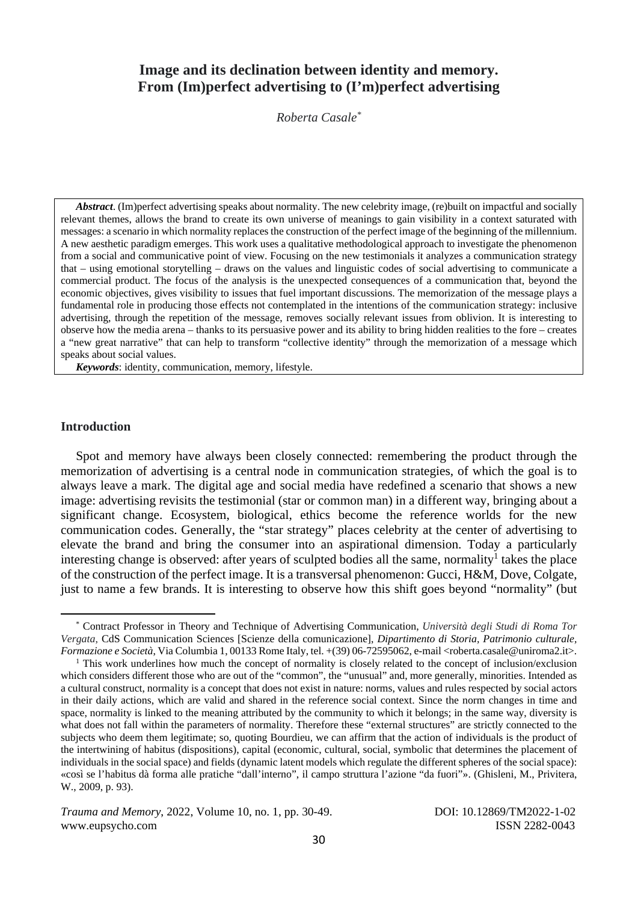# **Image and its declination between identity and memory. From (Im)perfect advertising to (I'm)perfect advertising**

*Roberta Casale\**

*Abstract*. (Im)perfect advertising speaks about normality. The new celebrity image, (re)built on impactful and socially relevant themes, allows the brand to create its own universe of meanings to gain visibility in a context saturated with messages: a scenario in which normality replaces the construction of the perfect image of the beginning of the millennium. A new aesthetic paradigm emerges. This work uses a qualitative methodological approach to investigate the phenomenon from a social and communicative point of view. Focusing on the new testimonials it analyzes a communication strategy that – using emotional storytelling – draws on the values and linguistic codes of social advertising to communicate a commercial product. The focus of the analysis is the unexpected consequences of a communication that, beyond the economic objectives, gives visibility to issues that fuel important discussions. The memorization of the message plays a fundamental role in producing those effects not contemplated in the intentions of the communication strategy: inclusive advertising, through the repetition of the message, removes socially relevant issues from oblivion. It is interesting to observe how the media arena – thanks to its persuasive power and its ability to bring hidden realities to the fore – creates a "new great narrative" that can help to transform "collective identity" through the memorization of a message which speaks about social values.

*Keywords*: identity, communication, memory, lifestyle.

## **Introduction**

Spot and memory have always been closely connected: remembering the product through the memorization of advertising is a central node in communication strategies, of which the goal is to always leave a mark. The digital age and social media have redefined a scenario that shows a new image: advertising revisits the testimonial (star or common man) in a different way, bringing about a significant change. Ecosystem, biological, ethics become the reference worlds for the new communication codes. Generally, the "star strategy" places celebrity at the center of advertising to elevate the brand and bring the consumer into an aspirational dimension. Today a particularly interesting change is observed: after years of sculpted bodies all the same, normality<sup>1</sup> takes the place of the construction of the perfect image. It is a transversal phenomenon: Gucci, H&M, Dove, Colgate, just to name a few brands. It is interesting to observe how this shift goes beyond "normality" (but

<sup>\*</sup> Contract Professor in Theory and Technique of Advertising Communication, *Università degli Studi di Roma Tor Vergata*, CdS Communication Sciences [Scienze della comunicazione], *Dipartimento di Storia, Patrimonio culturale, Formazione e Società*, Via Columbia 1, 00133 Rome Italy, tel. +(39) 06-72595062, e-mail <roberta.casale@uniroma2.it>.

<sup>&</sup>lt;sup>1</sup> This work underlines how much the concept of normality is closely related to the concept of inclusion/exclusion which considers different those who are out of the "common", the "unusual" and, more generally, minorities. Intended as a cultural construct, normality is a concept that does not exist in nature: norms, values and rules respected by social actors in their daily actions, which are valid and shared in the reference social context. Since the norm changes in time and space, normality is linked to the meaning attributed by the community to which it belongs; in the same way, diversity is what does not fall within the parameters of normality. Therefore these "external structures" are strictly connected to the subjects who deem them legitimate; so, quoting Bourdieu, we can affirm that the action of individuals is the product of the intertwining of habitus (dispositions), capital (economic, cultural, social, symbolic that determines the placement of individuals in the social space) and fields (dynamic latent models which regulate the different spheres of the social space): «così se l'habitus dà forma alle pratiche "dall'interno", il campo struttura l'azione "da fuori"». (Ghisleni, M., Privitera, W., 2009, p. 93).

*Trauma and Memory*, 2022, Volume 10, no. 1, pp. 30-49. DOI: 10.12869/TM2022-1-02 www.eupsycho.com ISSN 2282-0043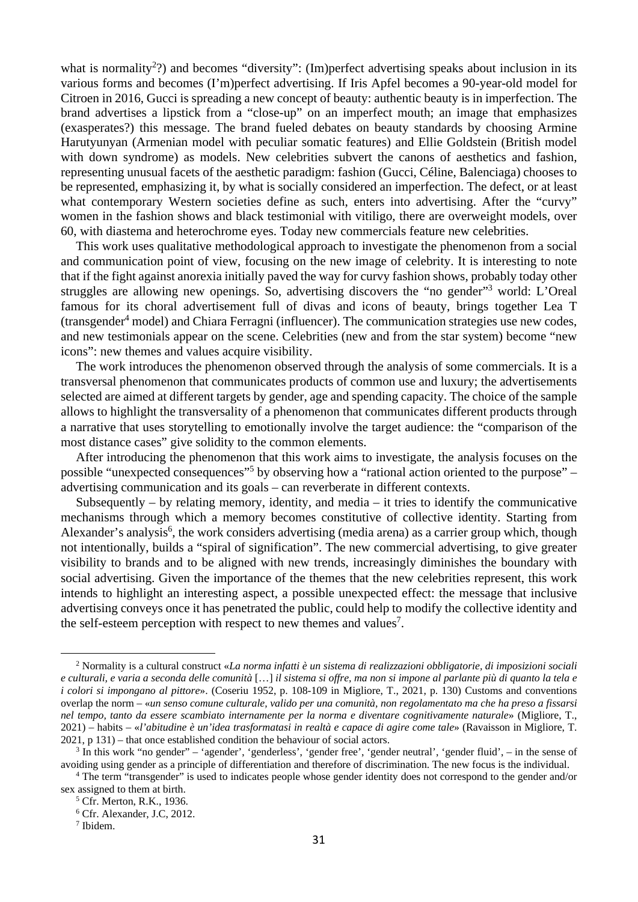what is normality<sup>2</sup>?) and becomes "diversity": (Im)perfect advertising speaks about inclusion in its various forms and becomes (I'm)perfect advertising. If Iris Apfel becomes a 90-year-old model for Citroen in 2016, Gucci is spreading a new concept of beauty: authentic beauty is in imperfection. The brand advertises a lipstick from a "close-up" on an imperfect mouth; an image that emphasizes (exasperates?) this message. The brand fueled debates on beauty standards by choosing Armine Harutyunyan (Armenian model with peculiar somatic features) and Ellie Goldstein (British model with down syndrome) as models. New celebrities subvert the canons of aesthetics and fashion, representing unusual facets of the aesthetic paradigm: fashion (Gucci, Céline, Balenciaga) chooses to be represented, emphasizing it, by what is socially considered an imperfection. The defect, or at least what contemporary Western societies define as such, enters into advertising. After the "curvy" women in the fashion shows and black testimonial with vitiligo, there are overweight models, over 60, with diastema and heterochrome eyes. Today new commercials feature new celebrities.

This work uses qualitative methodological approach to investigate the phenomenon from a social and communication point of view, focusing on the new image of celebrity. It is interesting to note that if the fight against anorexia initially paved the way for curvy fashion shows, probably today other struggles are allowing new openings. So, advertising discovers the "no gender"<sup>3</sup> world: L'Oreal famous for its choral advertisement full of divas and icons of beauty, brings together Lea T (transgender<sup>4</sup> model) and Chiara Ferragni (influencer). The communication strategies use new codes, and new testimonials appear on the scene. Celebrities (new and from the star system) become "new icons": new themes and values acquire visibility.

The work introduces the phenomenon observed through the analysis of some commercials. It is a transversal phenomenon that communicates products of common use and luxury; the advertisements selected are aimed at different targets by gender, age and spending capacity. The choice of the sample allows to highlight the transversality of a phenomenon that communicates different products through a narrative that uses storytelling to emotionally involve the target audience: the "comparison of the most distance cases" give solidity to the common elements.

After introducing the phenomenon that this work aims to investigate, the analysis focuses on the possible "unexpected consequences"<sup>5</sup> by observing how a "rational action oriented to the purpose" – advertising communication and its goals – can reverberate in different contexts.

Subsequently – by relating memory, identity, and media – it tries to identify the communicative mechanisms through which a memory becomes constitutive of collective identity. Starting from Alexander's analysis<sup>6</sup>, the work considers advertising (media arena) as a carrier group which, though not intentionally, builds a "spiral of signification". The new commercial advertising, to give greater visibility to brands and to be aligned with new trends, increasingly diminishes the boundary with social advertising. Given the importance of the themes that the new celebrities represent, this work intends to highlight an interesting aspect, a possible unexpected effect: the message that inclusive advertising conveys once it has penetrated the public, could help to modify the collective identity and the self-esteem perception with respect to new themes and values<sup>7</sup>.

<sup>2</sup> Normality is a cultural construct «*La norma infatti è un sistema di realizzazioni obbligatorie, di imposizioni sociali e culturali, e varia a seconda delle comunità* […] *il sistema si offre, ma non si impone al parlante più di quanto la tela e i colori si impongano al pittore*». (Coseriu 1952, p. 108-109 in Migliore, T., 2021, p. 130) Customs and conventions overlap the norm – «*un senso comune culturale, valido per una comunità, non regolamentato ma che ha preso a fissarsi nel tempo, tanto da essere scambiato internamente per la norma e diventare cognitivamente naturale*» (Migliore, T., 2021) – habits – «*l'abitudine è un'idea trasformatasi in realtà e capace di agire come tale*» (Ravaisson in Migliore, T.  $2021$ , p  $131$ ) – that once established condition the behaviour of social actors.

 $3$  In this work "no gender" – 'agender', 'genderless', 'gender free', 'gender neutral', 'gender fluid', – in the sense of avoiding using gender as a principle of differentiation and therefore of discrimination. The new focus is the individual. 4

The term "transgender" is used to indicates people whose gender identity does not correspond to the gender and/or sex assigned to them at birth.

<sup>&</sup>lt;sup>5</sup> Cfr. Merton, R.K., 1936.

<sup>6</sup> Cfr. Alexander, J.C, 2012.

<sup>7</sup> Ibidem.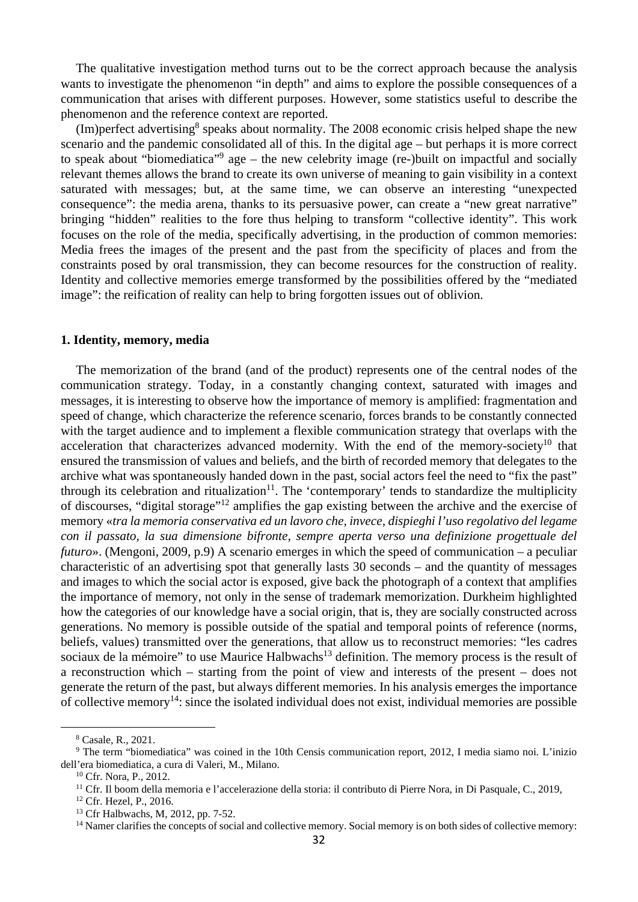The qualitative investigation method turns out to be the correct approach because the analysis wants to investigate the phenomenon "in depth" and aims to explore the possible consequences of a communication that arises with different purposes. However, some statistics useful to describe the phenomenon and the reference context are reported.

(Im)perfect advertising<sup>8</sup> speaks about normality. The 2008 economic crisis helped shape the new scenario and the pandemic consolidated all of this. In the digital age – but perhaps it is more correct to speak about "biomediatica"<sup>9</sup> age – the new celebrity image (re-)built on impactful and socially relevant themes allows the brand to create its own universe of meaning to gain visibility in a context saturated with messages; but, at the same time, we can observe an interesting "unexpected consequence": the media arena, thanks to its persuasive power, can create a "new great narrative" bringing "hidden" realities to the fore thus helping to transform "collective identity". This work focuses on the role of the media, specifically advertising, in the production of common memories: Media frees the images of the present and the past from the specificity of places and from the constraints posed by oral transmission, they can become resources for the construction of reality. Identity and collective memories emerge transformed by the possibilities offered by the "mediated image": the reification of reality can help to bring forgotten issues out of oblivion.

#### **1. Identity, memory, media**

The memorization of the brand (and of the product) represents one of the central nodes of the communication strategy. Today, in a constantly changing context, saturated with images and messages, it is interesting to observe how the importance of memory is amplified: fragmentation and speed of change, which characterize the reference scenario, forces brands to be constantly connected with the target audience and to implement a flexible communication strategy that overlaps with the acceleration that characterizes advanced modernity. With the end of the memory-society<sup>10</sup> that ensured the transmission of values and beliefs, and the birth of recorded memory that delegates to the archive what was spontaneously handed down in the past, social actors feel the need to "fix the past" through its celebration and ritualization<sup>11</sup>. The 'contemporary' tends to standardize the multiplicity of discourses, "digital storage"12 amplifies the gap existing between the archive and the exercise of memory «*tra la memoria conservativa ed un lavoro che, invece, dispieghi l'uso regolativo del legame con il passato, la sua dimensione bifronte, sempre aperta verso una definizione progettuale del futuro*». (Mengoni, 2009, p.9) A scenario emerges in which the speed of communication – a peculiar characteristic of an advertising spot that generally lasts 30 seconds – and the quantity of messages and images to which the social actor is exposed, give back the photograph of a context that amplifies the importance of memory, not only in the sense of trademark memorization. Durkheim highlighted how the categories of our knowledge have a social origin, that is, they are socially constructed across generations. No memory is possible outside of the spatial and temporal points of reference (norms, beliefs, values) transmitted over the generations, that allow us to reconstruct memories: "les cadres sociaux de la mémoire" to use Maurice Halbwachs<sup>13</sup> definition. The memory process is the result of a reconstruction which – starting from the point of view and interests of the present – does not generate the return of the past, but always different memories. In his analysis emerges the importance of collective memory<sup>14</sup>: since the isolated individual does not exist, individual memories are possible

<sup>8</sup> Casale, R., 2021.

<sup>&</sup>lt;sup>9</sup> The term "biomediatica" was coined in the 10th Censis communication report, 2012, I media siamo noi. L'inizio dell'era biomediatica, a cura di Valeri, M., Milano. 10 Cfr. Nora, P., 2012.

<sup>&</sup>lt;sup>11</sup> Cfr. Il boom della memoria e l'accelerazione della storia: il contributo di Pierre Nora, in Di Pasquale, C., 2019, <sup>12</sup> Cfr. Hezel, P., 2016.

<sup>13</sup> Cfr Halbwachs, M, 2012, pp. 7-52.

<sup>&</sup>lt;sup>14</sup> Namer clarifies the concepts of social and collective memory. Social memory is on both sides of collective memory: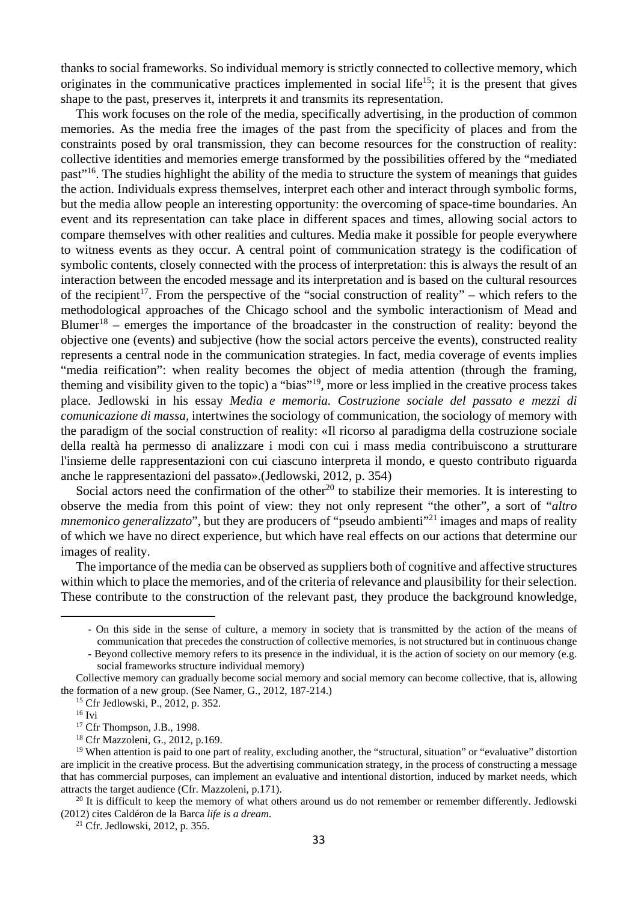thanks to social frameworks. So individual memory is strictly connected to collective memory, which originates in the communicative practices implemented in social life<sup>15</sup>; it is the present that gives shape to the past, preserves it, interprets it and transmits its representation.

This work focuses on the role of the media, specifically advertising, in the production of common memories. As the media free the images of the past from the specificity of places and from the constraints posed by oral transmission, they can become resources for the construction of reality: collective identities and memories emerge transformed by the possibilities offered by the "mediated past"16. The studies highlight the ability of the media to structure the system of meanings that guides the action. Individuals express themselves, interpret each other and interact through symbolic forms, but the media allow people an interesting opportunity: the overcoming of space-time boundaries. An event and its representation can take place in different spaces and times, allowing social actors to compare themselves with other realities and cultures. Media make it possible for people everywhere to witness events as they occur. A central point of communication strategy is the codification of symbolic contents, closely connected with the process of interpretation: this is always the result of an interaction between the encoded message and its interpretation and is based on the cultural resources of the recipient<sup>17</sup>. From the perspective of the "social construction of reality" – which refers to the methodological approaches of the Chicago school and the symbolic interactionism of Mead and Blumer<sup>18</sup> – emerges the importance of the broadcaster in the construction of reality: beyond the objective one (events) and subjective (how the social actors perceive the events), constructed reality represents a central node in the communication strategies. In fact, media coverage of events implies "media reification": when reality becomes the object of media attention (through the framing, theming and visibility given to the topic) a "bias"19, more or less implied in the creative process takes place. Jedlowski in his essay *Media e memoria. Costruzione sociale del passato e mezzi di comunicazione di massa*, intertwines the sociology of communication, the sociology of memory with the paradigm of the social construction of reality: «Il ricorso al paradigma della costruzione sociale della realtà ha permesso di analizzare i modi con cui i mass media contribuiscono a strutturare l'insieme delle rappresentazioni con cui ciascuno interpreta il mondo, e questo contributo riguarda anche le rappresentazioni del passato».(Jedlowski, 2012, p. 354)

Social actors need the confirmation of the other<sup>20</sup> to stabilize their memories. It is interesting to observe the media from this point of view: they not only represent "the other", a sort of "*altro mnemonico generalizzato*", but they are producers of "pseudo ambienti"<sup>21</sup> images and maps of reality of which we have no direct experience, but which have real effects on our actions that determine our images of reality.

The importance of the media can be observed as suppliers both of cognitive and affective structures within which to place the memories, and of the criteria of relevance and plausibility for their selection. These contribute to the construction of the relevant past, they produce the background knowledge,

<sup>-</sup> On this side in the sense of culture, a memory in society that is transmitted by the action of the means of communication that precedes the construction of collective memories, is not structured but in continuous change

<sup>-</sup> Beyond collective memory refers to its presence in the individual, it is the action of society on our memory (e.g. social frameworks structure individual memory)

Collective memory can gradually become social memory and social memory can become collective, that is, allowing the formation of a new group. (See Namer, G., 2012, 187-214.) 15 Cfr Jedlowski, P., 2012, p. 352.

 $16$  Ivi

<sup>&</sup>lt;sup>17</sup> Cfr Thompson, J.B., 1998.

<sup>18</sup> Cfr Mazzoleni, G., 2012, p.169.

<sup>&</sup>lt;sup>19</sup> When attention is paid to one part of reality, excluding another, the "structural, situation" or "evaluative" distortion are implicit in the creative process. But the advertising communication strategy, in the process of constructing a message that has commercial purposes, can implement an evaluative and intentional distortion, induced by market needs, which attracts the target audience (Cfr. Mazzoleni, p.171).<br><sup>20</sup> It is difficult to keep the memory of what others around us do not remember or remember differently. Jedlowski

<sup>(2012)</sup> cites Caldéron de la Barca *life is a dream*. 21 Cfr. Jedlowski, 2012, p. 355.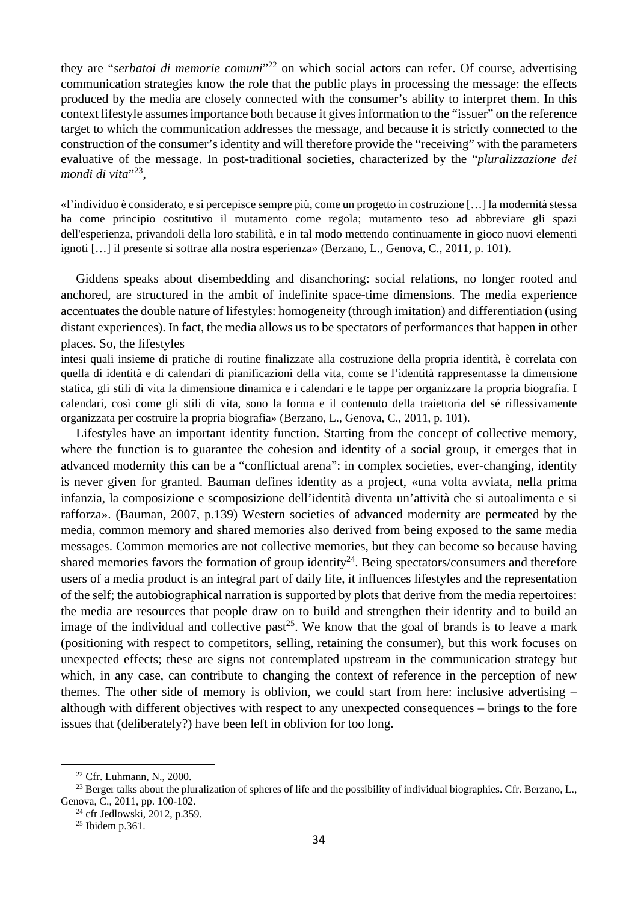they are "*serbatoi di memorie comuni*"<sup>22</sup> on which social actors can refer. Of course, advertising communication strategies know the role that the public plays in processing the message: the effects produced by the media are closely connected with the consumer's ability to interpret them. In this context lifestyle assumes importance both because it gives information to the "issuer" on the reference target to which the communication addresses the message, and because it is strictly connected to the construction of the consumer's identity and will therefore provide the "receiving" with the parameters evaluative of the message. In post-traditional societies, characterized by the "*pluralizzazione dei*  mondi di vita"<sup>23</sup>,

«l'individuo è considerato, e si percepisce sempre più, come un progetto in costruzione […] la modernità stessa ha come principio costitutivo il mutamento come regola; mutamento teso ad abbreviare gli spazi dell'esperienza, privandoli della loro stabilità, e in tal modo mettendo continuamente in gioco nuovi elementi ignoti […] il presente si sottrae alla nostra esperienza» (Berzano, L., Genova, C., 2011, p. 101).

Giddens speaks about disembedding and disanchoring: social relations, no longer rooted and anchored, are structured in the ambit of indefinite space-time dimensions. The media experience accentuates the double nature of lifestyles: homogeneity (through imitation) and differentiation (using distant experiences). In fact, the media allows us to be spectators of performances that happen in other places. So, the lifestyles

intesi quali insieme di pratiche di routine finalizzate alla costruzione della propria identità, è correlata con quella di identità e di calendari di pianificazioni della vita, come se l'identità rappresentasse la dimensione statica, gli stili di vita la dimensione dinamica e i calendari e le tappe per organizzare la propria biografia. I calendari, così come gli stili di vita, sono la forma e il contenuto della traiettoria del sé riflessivamente organizzata per costruire la propria biografia» (Berzano, L., Genova, C., 2011, p. 101).

Lifestyles have an important identity function. Starting from the concept of collective memory, where the function is to guarantee the cohesion and identity of a social group, it emerges that in advanced modernity this can be a "conflictual arena": in complex societies, ever-changing, identity is never given for granted. Bauman defines identity as a project, «una volta avviata, nella prima infanzia, la composizione e scomposizione dell'identità diventa un'attività che si autoalimenta e si rafforza». (Bauman, 2007, p.139) Western societies of advanced modernity are permeated by the media, common memory and shared memories also derived from being exposed to the same media messages. Common memories are not collective memories, but they can become so because having shared memories favors the formation of group identity<sup>24</sup>. Being spectators/consumers and therefore users of a media product is an integral part of daily life, it influences lifestyles and the representation of the self; the autobiographical narration is supported by plots that derive from the media repertoires: the media are resources that people draw on to build and strengthen their identity and to build an image of the individual and collective past<sup>25</sup>. We know that the goal of brands is to leave a mark (positioning with respect to competitors, selling, retaining the consumer), but this work focuses on unexpected effects; these are signs not contemplated upstream in the communication strategy but which, in any case, can contribute to changing the context of reference in the perception of new themes. The other side of memory is oblivion, we could start from here: inclusive advertising – although with different objectives with respect to any unexpected consequences – brings to the fore issues that (deliberately?) have been left in oblivion for too long.

<sup>22</sup> Cfr. Luhmann, N., 2000.

<sup>&</sup>lt;sup>23</sup> Berger talks about the pluralization of spheres of life and the possibility of individual biographies. Cfr. Berzano, L., Genova, C., 2011, pp. 100-102.<br><sup>24</sup> cfr Jedlowski, 2012, p.359.

<sup>25</sup> Ibidem p.361.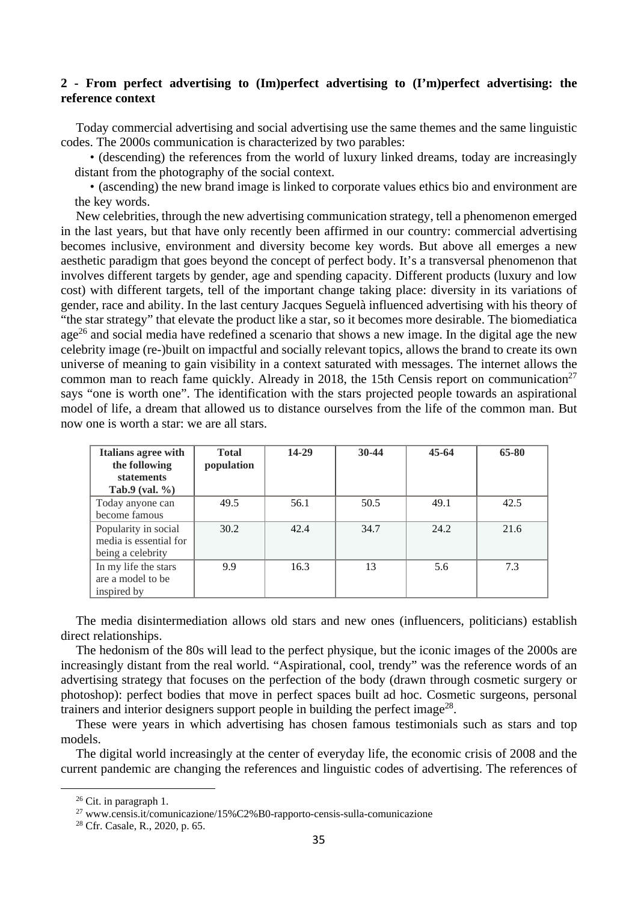## **2 - From perfect advertising to (Im)perfect advertising to (I'm)perfect advertising: the reference context**

Today commercial advertising and social advertising use the same themes and the same linguistic codes. The 2000s communication is characterized by two parables:

• (descending) the references from the world of luxury linked dreams, today are increasingly distant from the photography of the social context.

• (ascending) the new brand image is linked to corporate values ethics bio and environment are the key words.

New celebrities, through the new advertising communication strategy, tell a phenomenon emerged in the last years, but that have only recently been affirmed in our country: commercial advertising becomes inclusive, environment and diversity become key words. But above all emerges a new aesthetic paradigm that goes beyond the concept of perfect body. It's a transversal phenomenon that involves different targets by gender, age and spending capacity. Different products (luxury and low cost) with different targets, tell of the important change taking place: diversity in its variations of gender, race and ability. In the last century Jacques Seguelà influenced advertising with his theory of "the star strategy" that elevate the product like a star, so it becomes more desirable. The biomediatica age<sup>26</sup> and social media have redefined a scenario that shows a new image. In the digital age the new celebrity image (re-)built on impactful and socially relevant topics, allows the brand to create its own universe of meaning to gain visibility in a context saturated with messages. The internet allows the common man to reach fame quickly. Already in 2018, the 15th Censis report on communication<sup>27</sup> says "one is worth one". The identification with the stars projected people towards an aspirational model of life, a dream that allowed us to distance ourselves from the life of the common man. But now one is worth a star: we are all stars.

| <b>Italians agree with</b><br>the following<br><b>statements</b><br>Tab.9 (val. $\%$ ) | <b>Total</b><br>population | 14-29 | $30-44$ | $45-64$ | 65-80 |
|----------------------------------------------------------------------------------------|----------------------------|-------|---------|---------|-------|
| Today anyone can<br>become famous                                                      | 49.5                       | 56.1  | 50.5    | 49.1    | 42.5  |
| Popularity in social<br>media is essential for<br>being a celebrity                    | 30.2                       | 42.4  | 34.7    | 24.2    | 21.6  |
| In my life the stars<br>are a model to be<br>inspired by                               | 9.9                        | 16.3  | 13      | 5.6     | 7.3   |

The media disintermediation allows old stars and new ones (influencers, politicians) establish direct relationships.

The hedonism of the 80s will lead to the perfect physique, but the iconic images of the 2000s are increasingly distant from the real world. "Aspirational, cool, trendy" was the reference words of an advertising strategy that focuses on the perfection of the body (drawn through cosmetic surgery or photoshop): perfect bodies that move in perfect spaces built ad hoc. Cosmetic surgeons, personal trainers and interior designers support people in building the perfect image<sup>28</sup>.

These were years in which advertising has chosen famous testimonials such as stars and top models.

The digital world increasingly at the center of everyday life, the economic crisis of 2008 and the current pandemic are changing the references and linguistic codes of advertising. The references of

<sup>&</sup>lt;sup>26</sup> Cit. in paragraph 1.

<sup>27</sup> www.censis.it/comunicazione/15%C2%B0-rapporto-censis-sulla-comunicazione 28 Cfr. Casale, R., 2020, p. 65.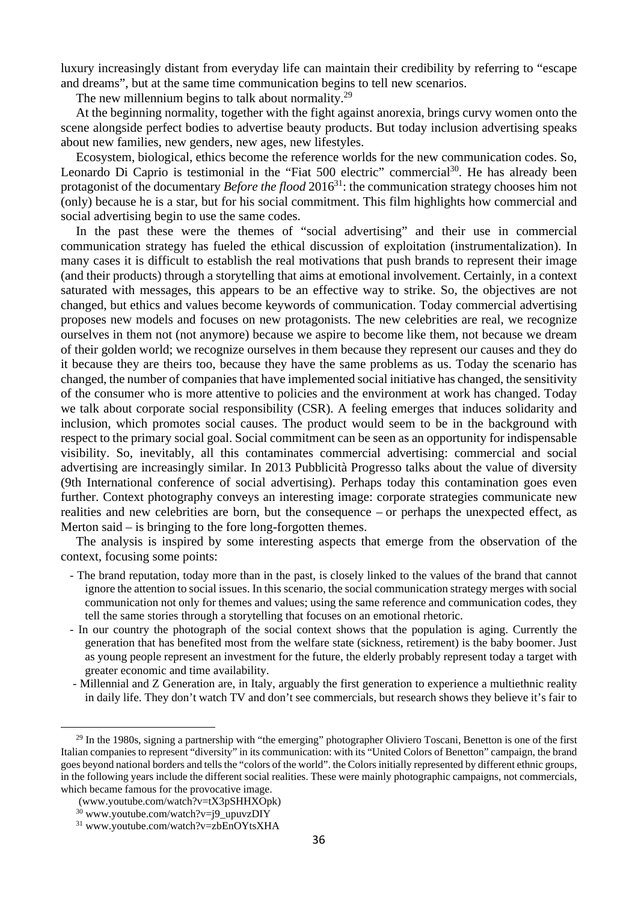luxury increasingly distant from everyday life can maintain their credibility by referring to "escape and dreams", but at the same time communication begins to tell new scenarios.

The new millennium begins to talk about normality.<sup>29</sup>

At the beginning normality, together with the fight against anorexia, brings curvy women onto the scene alongside perfect bodies to advertise beauty products. But today inclusion advertising speaks about new families, new genders, new ages, new lifestyles.

Ecosystem, biological, ethics become the reference worlds for the new communication codes. So, Leonardo Di Caprio is testimonial in the "Fiat 500 electric" commercial $30$ . He has already been protagonist of the documentary *Before the flood* 2016<sup>31</sup>: the communication strategy chooses him not (only) because he is a star, but for his social commitment. This film highlights how commercial and social advertising begin to use the same codes.

In the past these were the themes of "social advertising" and their use in commercial communication strategy has fueled the ethical discussion of exploitation (instrumentalization). In many cases it is difficult to establish the real motivations that push brands to represent their image (and their products) through a storytelling that aims at emotional involvement. Certainly, in a context saturated with messages, this appears to be an effective way to strike. So, the objectives are not changed, but ethics and values become keywords of communication. Today commercial advertising proposes new models and focuses on new protagonists. The new celebrities are real, we recognize ourselves in them not (not anymore) because we aspire to become like them, not because we dream of their golden world; we recognize ourselves in them because they represent our causes and they do it because they are theirs too, because they have the same problems as us. Today the scenario has changed, the number of companies that have implemented social initiative has changed, the sensitivity of the consumer who is more attentive to policies and the environment at work has changed. Today we talk about corporate social responsibility (CSR). A feeling emerges that induces solidarity and inclusion, which promotes social causes. The product would seem to be in the background with respect to the primary social goal. Social commitment can be seen as an opportunity for indispensable visibility. So, inevitably, all this contaminates commercial advertising: commercial and social advertising are increasingly similar. In 2013 Pubblicità Progresso talks about the value of diversity (9th International conference of social advertising). Perhaps today this contamination goes even further. Context photography conveys an interesting image: corporate strategies communicate new realities and new celebrities are born, but the consequence – or perhaps the unexpected effect, as Merton said – is bringing to the fore long-forgotten themes.

The analysis is inspired by some interesting aspects that emerge from the observation of the context, focusing some points:

- The brand reputation, today more than in the past, is closely linked to the values of the brand that cannot ignore the attention to social issues. In this scenario, the social communication strategy merges with social communication not only for themes and values; using the same reference and communication codes, they tell the same stories through a storytelling that focuses on an emotional rhetoric.
- In our country the photograph of the social context shows that the population is aging. Currently the generation that has benefited most from the welfare state (sickness, retirement) is the baby boomer. Just as young people represent an investment for the future, the elderly probably represent today a target with greater economic and time availability.
- Millennial and Z Generation are, in Italy, arguably the first generation to experience a multiethnic reality in daily life. They don't watch TV and don't see commercials, but research shows they believe it's fair to

<sup>&</sup>lt;sup>29</sup> In the 1980s, signing a partnership with "the emerging" photographer Oliviero Toscani, Benetton is one of the first Italian companies to represent "diversity" in its communication: with its "United Colors of Benetton" campaign, the brand goes beyond national borders and tells the "colors of the world". the Colors initially represented by different ethnic groups, in the following years include the different social realities. These were mainly photographic campaigns, not commercials, which became famous for the provocative image.

 <sup>(</sup>www.youtube.com/watch?v=tX3pSHHXOpk)

<sup>30</sup> www.youtube.com/watch?v=j9\_upuvzDIY

<sup>&</sup>lt;sup>31</sup> www.youtube.com/watch?v=zbEnOYtsXHA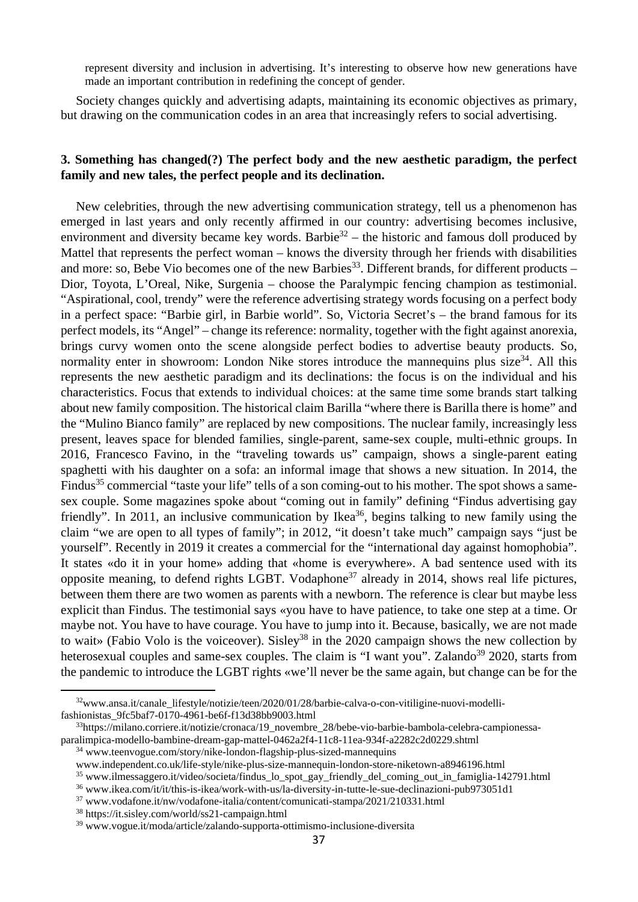represent diversity and inclusion in advertising. It's interesting to observe how new generations have made an important contribution in redefining the concept of gender.

Society changes quickly and advertising adapts, maintaining its economic objectives as primary, but drawing on the communication codes in an area that increasingly refers to social advertising.

# **3. Something has changed(?) The perfect body and the new aesthetic paradigm, the perfect family and new tales, the perfect people and its declination.**

New celebrities, through the new advertising communication strategy, tell us a phenomenon has emerged in last years and only recently affirmed in our country: advertising becomes inclusive, environment and diversity became key words. Barbie<sup>32</sup> – the historic and famous doll produced by Mattel that represents the perfect woman – knows the diversity through her friends with disabilities and more: so, Bebe Vio becomes one of the new Barbies<sup>33</sup>. Different brands, for different products – Dior, Toyota, L'Oreal, Nike, Surgenia – choose the Paralympic fencing champion as testimonial. "Aspirational, cool, trendy" were the reference advertising strategy words focusing on a perfect body in a perfect space: "Barbie girl, in Barbie world". So, Victoria Secret's – the brand famous for its perfect models, its "Angel" – change its reference: normality, together with the fight against anorexia, brings curvy women onto the scene alongside perfect bodies to advertise beauty products. So, normality enter in showroom: London Nike stores introduce the mannequins plus size<sup>34</sup>. All this represents the new aesthetic paradigm and its declinations: the focus is on the individual and his characteristics. Focus that extends to individual choices: at the same time some brands start talking about new family composition. The historical claim Barilla "where there is Barilla there is home" and the "Mulino Bianco family" are replaced by new compositions. The nuclear family, increasingly less present, leaves space for blended families, single-parent, same-sex couple, multi-ethnic groups. In 2016, Francesco Favino, in the "traveling towards us" campaign, shows a single-parent eating spaghetti with his daughter on a sofa: an informal image that shows a new situation. In 2014, the Findus<sup>35</sup> commercial "taste your life" tells of a son coming-out to his mother. The spot shows a samesex couple. Some magazines spoke about "coming out in family" defining "Findus advertising gay friendly". In 2011, an inclusive communication by Ikea<sup>36</sup>, begins talking to new family using the claim "we are open to all types of family"; in 2012, "it doesn't take much" campaign says "just be yourself". Recently in 2019 it creates a commercial for the "international day against homophobia". It states «do it in your home» adding that «home is everywhere». A bad sentence used with its opposite meaning, to defend rights LGBT. Vodaphone<sup>37</sup> already in 2014, shows real life pictures, between them there are two women as parents with a newborn. The reference is clear but maybe less explicit than Findus. The testimonial says «you have to have patience, to take one step at a time. Or maybe not. You have to have courage. You have to jump into it. Because, basically, we are not made to wait» (Fabio Volo is the voice over). Sisley<sup>38</sup> in the 2020 campaign shows the new collection by heterosexual couples and same-sex couples. The claim is "I want you". Zalando<sup>39</sup> 2020, starts from the pandemic to introduce the LGBT rights «we'll never be the same again, but change can be for the

 $32$ www.ansa.it/canale\_lifestyle/notizie/teen/2020/01/28/barbie-calva-o-con-vitiligine-nuovi-modellifashionistas\_9fc5baf7-0170-4961-be6f-f13d38bb9003.html 33https://milano.corriere.it/notizie/cronaca/19\_novembre\_28/bebe-vio-barbie-bambola-celebra-campionessa-

paralimpica-modello-bambine-dream-gap-mattel-0462a2f4-11c8-11ea-934f-a2282c2d0229.shtml 34 www.teenvogue.com/story/nike-london-flagship-plus-sized-mannequins

www.independent.co.uk/life-style/nike-plus-size-mannequin-london-store-niketown-a8946196.html<br>
<sup>35</sup> www.ilmessaggero.it/video/societa/findus\_lo\_spot\_gay\_friendly\_del\_coming\_out\_in\_famiglia-142791.html<br>
<sup>36</sup> www.ikea.com/it

<sup>39</sup> www.vogue.it/moda/article/zalando-supporta-ottimismo-inclusione-diversita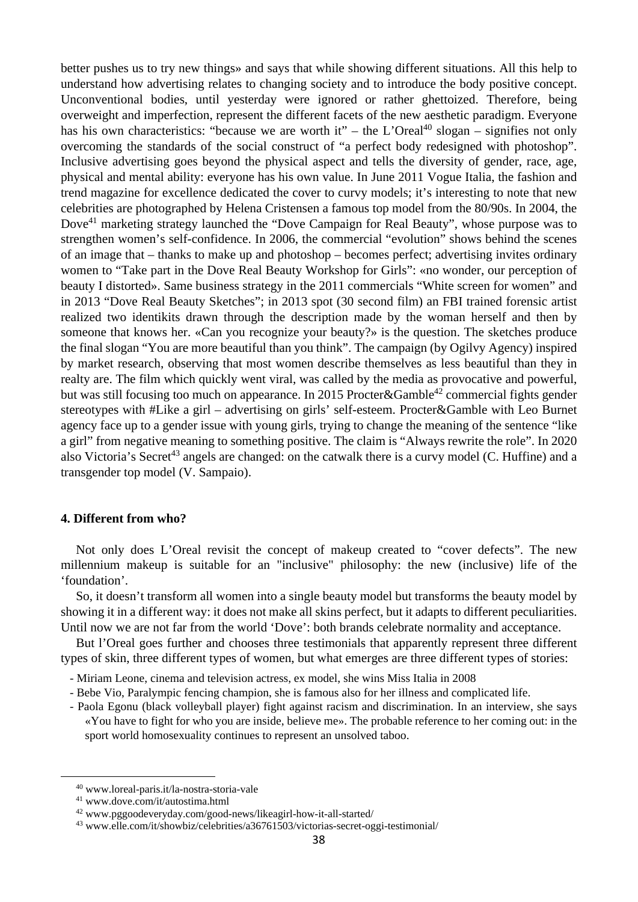better pushes us to try new things» and says that while showing different situations. All this help to understand how advertising relates to changing society and to introduce the body positive concept. Unconventional bodies, until yesterday were ignored or rather ghettoized. Therefore, being overweight and imperfection, represent the different facets of the new aesthetic paradigm. Everyone has his own characteristics: "because we are worth it" – the L'Oreal<sup>40</sup> slogan – signifies not only overcoming the standards of the social construct of "a perfect body redesigned with photoshop". Inclusive advertising goes beyond the physical aspect and tells the diversity of gender, race, age, physical and mental ability: everyone has his own value. In June 2011 Vogue Italia, the fashion and trend magazine for excellence dedicated the cover to curvy models; it's interesting to note that new celebrities are photographed by Helena Cristensen a famous top model from the 80/90s. In 2004, the Dove41 marketing strategy launched the "Dove Campaign for Real Beauty", whose purpose was to strengthen women's self-confidence. In 2006, the commercial "evolution" shows behind the scenes of an image that – thanks to make up and photoshop – becomes perfect; advertising invites ordinary women to "Take part in the Dove Real Beauty Workshop for Girls": «no wonder, our perception of beauty I distorted». Same business strategy in the 2011 commercials "White screen for women" and in 2013 "Dove Real Beauty Sketches"; in 2013 spot (30 second film) an FBI trained forensic artist realized two identikits drawn through the description made by the woman herself and then by someone that knows her. «Can you recognize your beauty?» is the question. The sketches produce the final slogan "You are more beautiful than you think". The campaign (by Ogilvy Agency) inspired by market research, observing that most women describe themselves as less beautiful than they in realty are. The film which quickly went viral, was called by the media as provocative and powerful, but was still focusing too much on appearance. In 2015 Procter&Gamble<sup>42</sup> commercial fights gender stereotypes with #Like a girl – advertising on girls' self-esteem. Procter&Gamble with Leo Burnet agency face up to a gender issue with young girls, trying to change the meaning of the sentence "like a girl" from negative meaning to something positive. The claim is "Always rewrite the role". In 2020 also Victoria's Secret<sup>43</sup> angels are changed: on the catwalk there is a curvy model (C. Huffine) and a transgender top model (V. Sampaio).

## **4. Different from who?**

Not only does L'Oreal revisit the concept of makeup created to "cover defects". The new millennium makeup is suitable for an "inclusive" philosophy: the new (inclusive) life of the 'foundation'.

So, it doesn't transform all women into a single beauty model but transforms the beauty model by showing it in a different way: it does not make all skins perfect, but it adapts to different peculiarities. Until now we are not far from the world 'Dove': both brands celebrate normality and acceptance.

But l'Oreal goes further and chooses three testimonials that apparently represent three different types of skin, three different types of women, but what emerges are three different types of stories:

- Miriam Leone, cinema and television actress, ex model, she wins Miss Italia in 2008
- Bebe Vio, Paralympic fencing champion, she is famous also for her illness and complicated life.
- Paola Egonu (black volleyball player) fight against racism and discrimination. In an interview, she says «You have to fight for who you are inside, believe me». The probable reference to her coming out: in the sport world homosexuality continues to represent an unsolved taboo.

<sup>40</sup> www.loreal-paris.it/la-nostra-storia-vale 41 www.dove.com/it/autostima.html

<sup>42</sup> www.pggoodeveryday.com/good-news/likeagirl-how-it-all-started/ 43 www.elle.com/it/showbiz/celebrities/a36761503/victorias-secret-oggi-testimonial/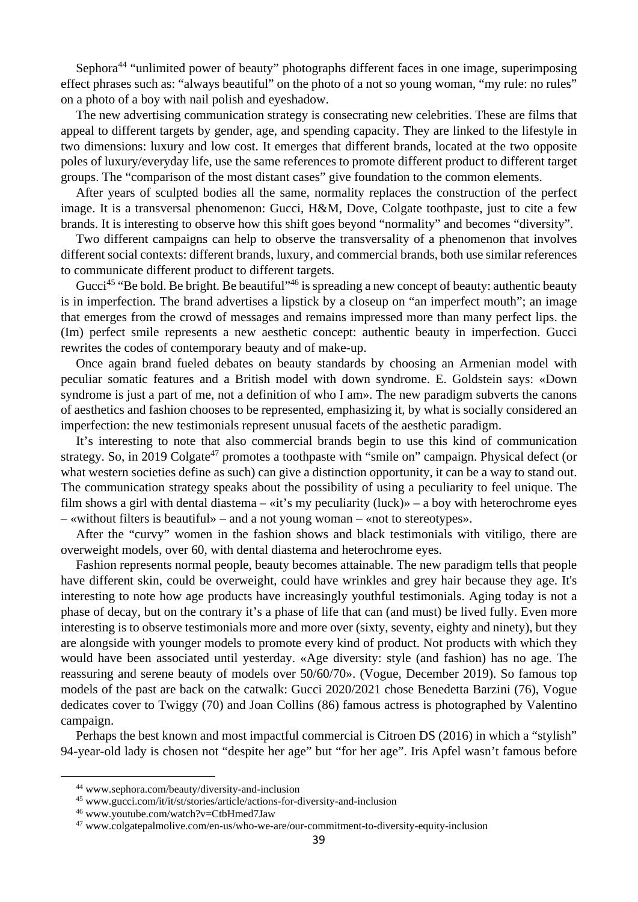Sephora<sup>44</sup> "unlimited power of beauty" photographs different faces in one image, superimposing effect phrases such as: "always beautiful" on the photo of a not so young woman, "my rule: no rules" on a photo of a boy with nail polish and eyeshadow.

The new advertising communication strategy is consecrating new celebrities. These are films that appeal to different targets by gender, age, and spending capacity. They are linked to the lifestyle in two dimensions: luxury and low cost. It emerges that different brands, located at the two opposite poles of luxury/everyday life, use the same references to promote different product to different target groups. The "comparison of the most distant cases" give foundation to the common elements.

After years of sculpted bodies all the same, normality replaces the construction of the perfect image. It is a transversal phenomenon: Gucci, H&M, Dove, Colgate toothpaste, just to cite a few brands. It is interesting to observe how this shift goes beyond "normality" and becomes "diversity".

Two different campaigns can help to observe the transversality of a phenomenon that involves different social contexts: different brands, luxury, and commercial brands, both use similar references to communicate different product to different targets.

Gucci<sup>45</sup> "Be bold. Be bright. Be beautiful"<sup>46</sup> is spreading a new concept of beauty: authentic beauty is in imperfection. The brand advertises a lipstick by a closeup on "an imperfect mouth"; an image that emerges from the crowd of messages and remains impressed more than many perfect lips. the (Im) perfect smile represents a new aesthetic concept: authentic beauty in imperfection. Gucci rewrites the codes of contemporary beauty and of make-up.

Once again brand fueled debates on beauty standards by choosing an Armenian model with peculiar somatic features and a British model with down syndrome. E. Goldstein says: «Down syndrome is just a part of me, not a definition of who I am». The new paradigm subverts the canons of aesthetics and fashion chooses to be represented, emphasizing it, by what is socially considered an imperfection: the new testimonials represent unusual facets of the aesthetic paradigm.

It's interesting to note that also commercial brands begin to use this kind of communication strategy. So, in 2019 Colgate<sup>47</sup> promotes a toothpaste with "smile on" campaign. Physical defect (or what western societies define as such) can give a distinction opportunity, it can be a way to stand out. The communication strategy speaks about the possibility of using a peculiarity to feel unique. The film shows a girl with dental diastema – «it's my peculiarity (luck)» – a boy with heterochrome eyes – «without filters is beautiful» – and a not young woman – «not to stereotypes».

After the "curvy" women in the fashion shows and black testimonials with vitiligo, there are overweight models, over 60, with dental diastema and heterochrome eyes.

Fashion represents normal people, beauty becomes attainable. The new paradigm tells that people have different skin, could be overweight, could have wrinkles and grey hair because they age. It's interesting to note how age products have increasingly youthful testimonials. Aging today is not a phase of decay, but on the contrary it's a phase of life that can (and must) be lived fully. Even more interesting is to observe testimonials more and more over (sixty, seventy, eighty and ninety), but they are alongside with younger models to promote every kind of product. Not products with which they would have been associated until yesterday. «Age diversity: style (and fashion) has no age. The reassuring and serene beauty of models over 50/60/70». (Vogue, December 2019). So famous top models of the past are back on the catwalk: Gucci 2020/2021 chose Benedetta Barzini (76), Vogue dedicates cover to Twiggy (70) and Joan Collins (86) famous actress is photographed by Valentino campaign.

Perhaps the best known and most impactful commercial is Citroen DS (2016) in which a "stylish" 94-year-old lady is chosen not "despite her age" but "for her age". Iris Apfel wasn't famous before

<sup>44</sup> www.sephora.com/beauty/diversity-and-inclusion

 $^{45}$ www.gucci.com/it/it/st/stories/article/actions-for-diversity-and-inclusion  $^{46}$ www.youtube.com/watch?v=CtbHmed7Jaw

<sup>47</sup> www.colgatepalmolive.com/en-us/who-we-are/our-commitment-to-diversity-equity-inclusion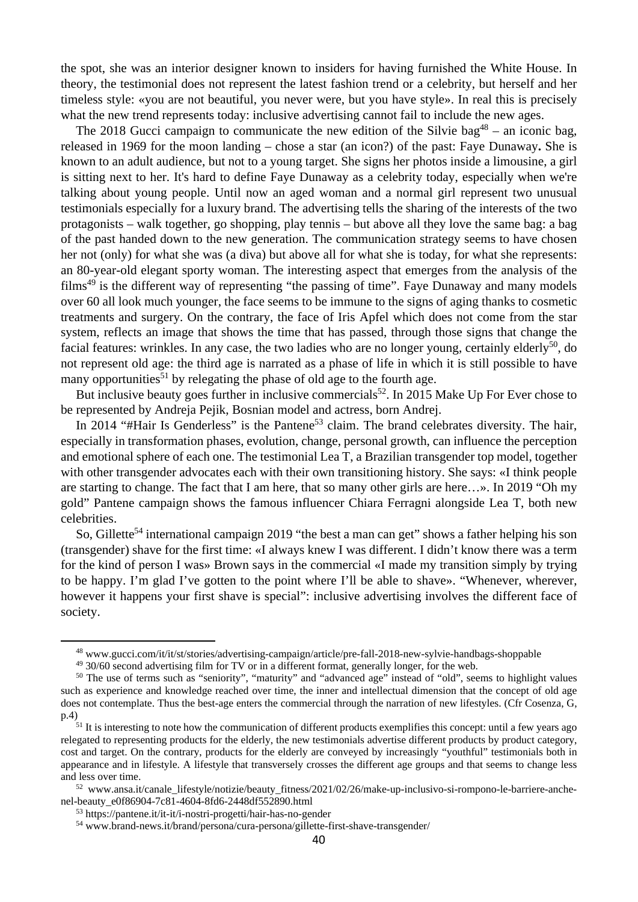the spot, she was an interior designer known to insiders for having furnished the White House. In theory, the testimonial does not represent the latest fashion trend or a celebrity, but herself and her timeless style: «you are not beautiful, you never were, but you have style». In real this is precisely what the new trend represents today: inclusive advertising cannot fail to include the new ages.

The 2018 Gucci campaign to communicate the new edition of the Silvie bag<sup>48</sup> – an iconic bag, released in 1969 for the moon landing – chose a star (an icon?) of the past: Faye Dunaway**.** She is known to an adult audience, but not to a young target. She signs her photos inside a limousine, a girl is sitting next to her. It's hard to define Faye Dunaway as a celebrity today, especially when we're talking about young people. Until now an aged woman and a normal girl represent two unusual testimonials especially for a luxury brand. The advertising tells the sharing of the interests of the two protagonists – walk together, go shopping, play tennis – but above all they love the same bag: a bag of the past handed down to the new generation. The communication strategy seems to have chosen her not (only) for what she was (a diva) but above all for what she is today, for what she represents: an 80-year-old elegant sporty woman. The interesting aspect that emerges from the analysis of the films<sup>49</sup> is the different way of representing "the passing of time". Faye Dunaway and many models over 60 all look much younger, the face seems to be immune to the signs of aging thanks to cosmetic treatments and surgery. On the contrary, the face of Iris Apfel which does not come from the star system, reflects an image that shows the time that has passed, through those signs that change the facial features: wrinkles. In any case, the two ladies who are no longer young, certainly elderly<sup>50</sup>, do not represent old age: the third age is narrated as a phase of life in which it is still possible to have many opportunities<sup>51</sup> by relegating the phase of old age to the fourth age.

But inclusive beauty goes further in inclusive commercials<sup>52</sup>. In 2015 Make Up For Ever chose to be represented by Andreja Pejik, Bosnian model and actress, born Andrej.

In 2014 "#Hair Is Genderless" is the Pantene<sup>53</sup> claim. The brand celebrates diversity. The hair, especially in transformation phases, evolution, change, personal growth, can influence the perception and emotional sphere of each one. The testimonial Lea T, a Brazilian transgender top model, together with other transgender advocates each with their own transitioning history. She says: «I think people are starting to change. The fact that I am here, that so many other girls are here…». In 2019 "Oh my gold" Pantene campaign shows the famous influencer Chiara Ferragni alongside Lea T, both new celebrities.

So, Gillette<sup>54</sup> international campaign 2019 "the best a man can get" shows a father helping his son (transgender) shave for the first time: «I always knew I was different. I didn't know there was a term for the kind of person I was» Brown says in the commercial «I made my transition simply by trying to be happy. I'm glad I've gotten to the point where I'll be able to shave». "Whenever, wherever, however it happens your first shave is special": inclusive advertising involves the different face of society.

 $^{48}$  www.gucci.com/it/it/st/stories/advertising-campaign/article/pre-fall-2018-new-sylvie-handbags-shoppable  $^{49}$  30/60 second advertising film for TV or in a different format, generally longer, for the web.

 $49$  30/60 second advertising film for TV or in a different format, generally longer, for the web.<br><sup>50</sup> The use of terms such as "seniority", "maturity" and "advanced age" instead of "old", seems to highlight values such as experience and knowledge reached over time, the inner and intellectual dimension that the concept of old age does not contemplate. Thus the best-age enters the commercial through the narration of new lifestyles. (Cfr Cosenza, G, p.4)<br><sup>51</sup> It is interesting to note how the communication of different products exemplifies this concept: until a few years ago

relegated to representing products for the elderly, the new testimonials advertise different products by product category, cost and target. On the contrary, products for the elderly are conveyed by increasingly "youthful" testimonials both in appearance and in lifestyle. A lifestyle that transversely crosses the different age groups and that seems to change less and less over time.<br>
<sup>52</sup> www.ansa.it/canale\_lifestyle/notizie/beauty\_fitness/2021/02/26/make-up-inclusivo-si-rompono-le-barriere-anche-

nel-beauty\_e0f86904-7c81-4604-8fd6-2448df552890.html<br>
<sup>53</sup> https://pantene.it/it-it/i-nostri-progetti/hair-has-no-gender<br>
<sup>54</sup> www.brand-news.it/brand/persona/cura-persona/gillette-first-shave-transgender/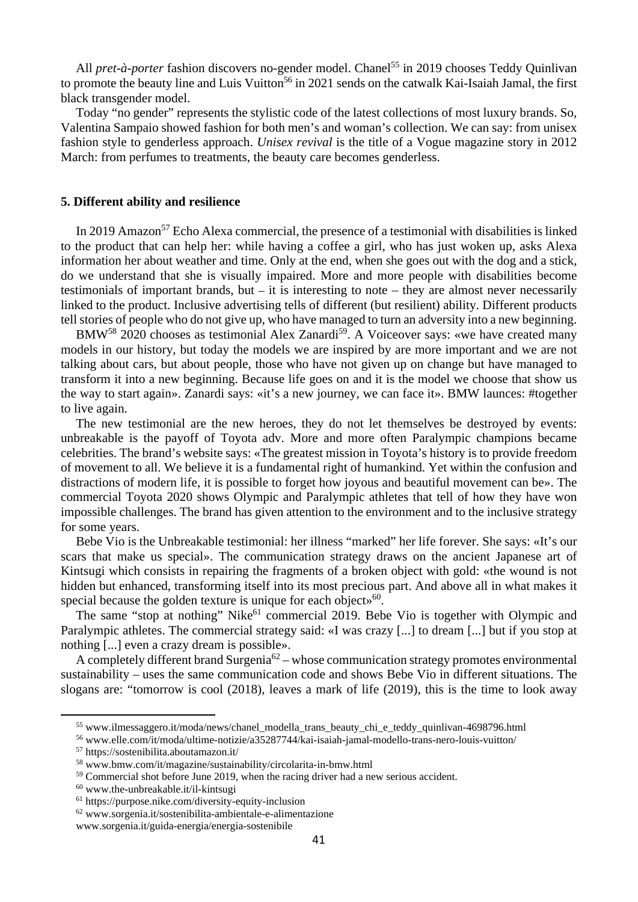All *pret-à-porter* fashion discovers no-gender model. Chanel<sup>55</sup> in 2019 chooses Teddy Quinlivan to promote the beauty line and Luis Vuitton<sup>56</sup> in 2021 sends on the catwalk Kai-Isaiah Jamal, the first black transgender model.

Today "no gender" represents the stylistic code of the latest collections of most luxury brands. So, Valentina Sampaio showed fashion for both men's and woman's collection. We can say: from unisex fashion style to genderless approach. *Unisex revival* is the title of a Vogue magazine story in 2012 March: from perfumes to treatments, the beauty care becomes genderless.

#### **5. Different ability and resilience**

In 2019 Amazon<sup>57</sup> Echo Alexa commercial, the presence of a testimonial with disabilities is linked to the product that can help her: while having a coffee a girl, who has just woken up, asks Alexa information her about weather and time. Only at the end, when she goes out with the dog and a stick, do we understand that she is visually impaired. More and more people with disabilities become testimonials of important brands, but – it is interesting to note – they are almost never necessarily linked to the product. Inclusive advertising tells of different (but resilient) ability. Different products tell stories of people who do not give up, who have managed to turn an adversity into a new beginning.

BMW<sup>58</sup> 2020 chooses as testimonial Alex Zanardi<sup>59</sup>. A Voiceover says: «we have created many models in our history, but today the models we are inspired by are more important and we are not talking about cars, but about people, those who have not given up on change but have managed to transform it into a new beginning. Because life goes on and it is the model we choose that show us the way to start again». Zanardi says: «it's a new journey, we can face it». BMW launces: #together to live again.

The new testimonial are the new heroes, they do not let themselves be destroyed by events: unbreakable is the payoff of Toyota adv. More and more often Paralympic champions became celebrities. The brand's website says: «The greatest mission in Toyota's history is to provide freedom of movement to all. We believe it is a fundamental right of humankind. Yet within the confusion and distractions of modern life, it is possible to forget how joyous and beautiful movement can be». The commercial Toyota 2020 shows Olympic and Paralympic athletes that tell of how they have won impossible challenges. The brand has given attention to the environment and to the inclusive strategy for some years.

Bebe Vio is the Unbreakable testimonial: her illness "marked" her life forever. She says: «It's our scars that make us special». The communication strategy draws on the ancient Japanese art of Kintsugi which consists in repairing the fragments of a broken object with gold: «the wound is not hidden but enhanced, transforming itself into its most precious part. And above all in what makes it special because the golden texture is unique for each objects<sup>60</sup>.

The same "stop at nothing" Nike<sup>61</sup> commercial 2019. Bebe Vio is together with Olympic and Paralympic athletes. The commercial strategy said: «I was crazy [...] to dream [...] but if you stop at nothing [...] even a crazy dream is possible».

A completely different brand Surgenia<sup>62</sup> – whose communication strategy promotes environmental sustainability – uses the same communication code and shows Bebe Vio in different situations. The slogans are: "tomorrow is cool (2018), leaves a mark of life (2019), this is the time to look away

<sup>&</sup>lt;sup>55</sup> www.ilmessaggero.it/moda/news/chanel\_modella\_trans\_beauty\_chi\_e\_teddy\_quinlivan-4698796.html<br><sup>56</sup> www.elle.com/it/moda/ultime-notizie/a35287744/kai-isaiah-jamal-modello-trans-nero-louis-vuitton/<br><sup>57</sup> https://sostenib

<sup>58</sup> www.bmw.com/it/magazine/sustainability/circolarita-in-bmw.html

<sup>&</sup>lt;sup>59</sup> Commercial shot before June 2019, when the racing driver had a new serious accident. <sup>60</sup> www.the-unbreakable.it/il-kintsugi

<sup>61</sup> https://purpose.nike.com/diversity-equity-inclusion

<sup>62</sup> www.sorgenia.it/sostenibilita-ambientale-e-alimentazione

www.sorgenia.it/guida-energia/energia-sostenibile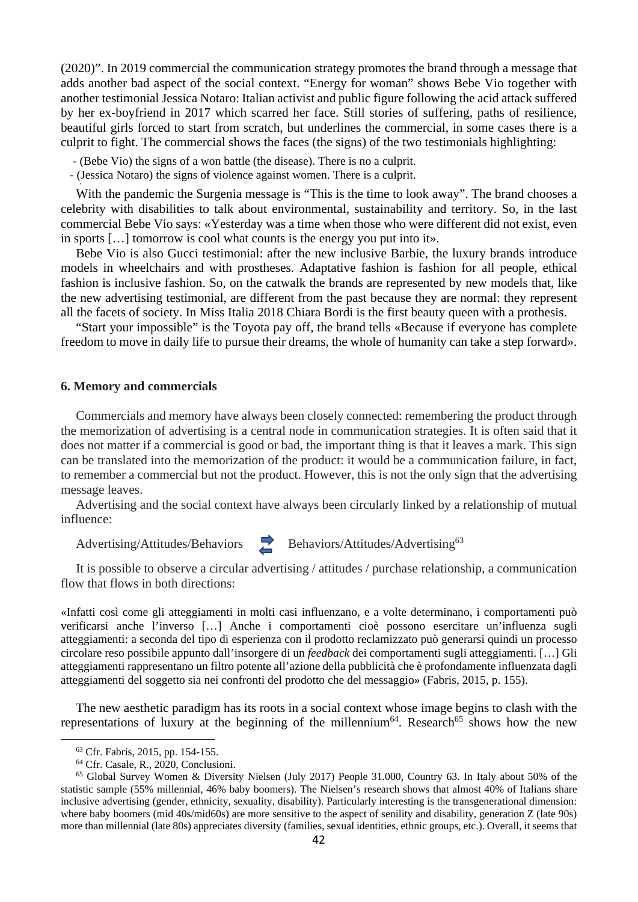(2020)". In 2019 commercial the communication strategy promotes the brand through a message that adds another bad aspect of the social context. "Energy for woman" shows Bebe Vio together with another testimonial Jessica Notaro: Italian activist and public figure following the acid attack suffered by her ex-boyfriend in 2017 which scarred her face. Still stories of suffering, paths of resilience, beautiful girls forced to start from scratch, but underlines the commercial, in some cases there is a culprit to fight. The commercial shows the faces (the signs) of the two testimonials highlighting:

- (Bebe Vio) the signs of a won battle (the disease). There is no a culprit.
- (Jessica Notaro) the signs of violence against women. There is a culprit. •

With the pandemic the Surgenia message is "This is the time to look away". The brand chooses a celebrity with disabilities to talk about environmental, sustainability and territory. So, in the last commercial Bebe Vio says: «Yesterday was a time when those who were different did not exist, even in sports […] tomorrow is cool what counts is the energy you put into it».

Bebe Vio is also Gucci testimonial: after the new inclusive Barbie, the luxury brands introduce models in wheelchairs and with prostheses. Adaptative fashion is fashion for all people, ethical fashion is inclusive fashion. So, on the catwalk the brands are represented by new models that, like the new advertising testimonial, are different from the past because they are normal: they represent all the facets of society. In Miss Italia 2018 Chiara Bordi is the first beauty queen with a prothesis.

"Start your impossible" is the Toyota pay off, the brand tells «Because if everyone has complete freedom to move in daily life to pursue their dreams, the whole of humanity can take a step forward».

#### **6. Memory and commercials**

Commercials and memory have always been closely connected: remembering the product through the memorization of advertising is a central node in communication strategies. It is often said that it does not matter if a commercial is good or bad, the important thing is that it leaves a mark. This sign can be translated into the memorization of the product: it would be a communication failure, in fact, to remember a commercial but not the product. However, this is not the only sign that the advertising message leaves.

Advertising and the social context have always been circularly linked by a relationship of mutual influence:

Advertising/Attitudes/Behaviors **Behaviors/Attitudes/Advertising**<sup>63</sup>

It is possible to observe a circular advertising / attitudes / purchase relationship, a communication flow that flows in both directions:

«Infatti così come gli atteggiamenti in molti casi influenzano, e a volte determinano, i comportamenti può verificarsi anche l'inverso […] Anche i comportamenti cioè possono esercitare un'influenza sugli atteggiamenti: a seconda del tipo di esperienza con il prodotto reclamizzato può generarsi quindi un processo circolare reso possibile appunto dall'insorgere di un *feedback* dei comportamenti sugli atteggiamenti. […] Gli atteggiamenti rappresentano un filtro potente all'azione della pubblicità che è profondamente influenzata dagli atteggiamenti del soggetto sia nei confronti del prodotto che del messaggio» (Fabris, 2015, p. 155).

The new aesthetic paradigm has its roots in a social context whose image begins to clash with the representations of luxury at the beginning of the millennium<sup>64</sup>. Research<sup>65</sup> shows how the new

<sup>63</sup> Cfr. Fabris, 2015, pp. 154-155.

<sup>64</sup> Cfr. Casale, R., 2020, Conclusioni.

<sup>65</sup> Global Survey Women & Diversity Nielsen (July 2017) People 31.000, Country 63. In Italy about 50% of the statistic sample (55% millennial, 46% baby boomers). The Nielsen's research shows that almost 40% of Italians share inclusive advertising (gender, ethnicity, sexuality, disability). Particularly interesting is the transgenerational dimension: where baby boomers (mid 40s/mid60s) are more sensitive to the aspect of senility and disability, generation Z (late 90s) more than millennial (late 80s) appreciates diversity (families, sexual identities, ethnic groups, etc.). Overall, it seems that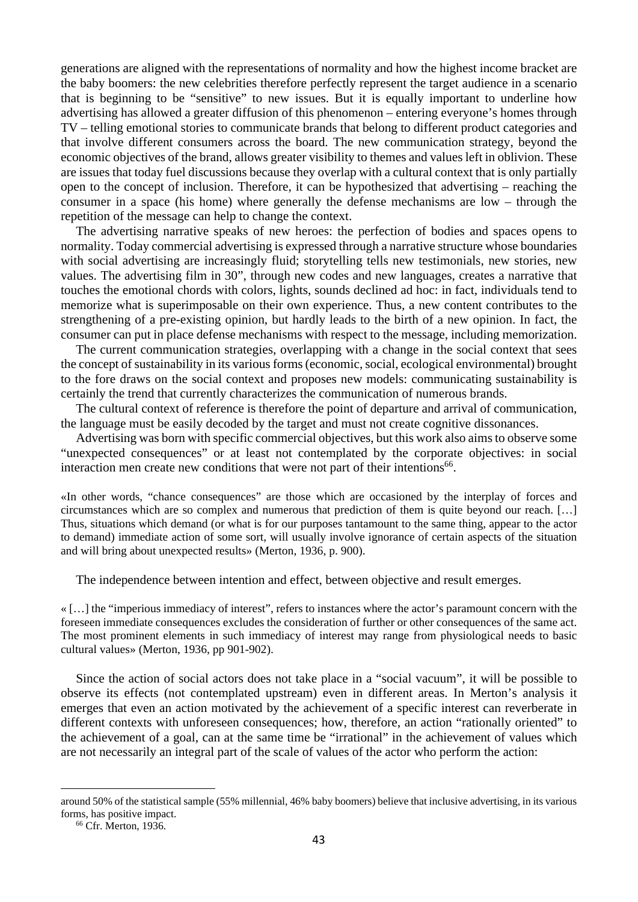generations are aligned with the representations of normality and how the highest income bracket are the baby boomers: the new celebrities therefore perfectly represent the target audience in a scenario that is beginning to be "sensitive" to new issues. But it is equally important to underline how advertising has allowed a greater diffusion of this phenomenon – entering everyone's homes through TV – telling emotional stories to communicate brands that belong to different product categories and that involve different consumers across the board. The new communication strategy, beyond the economic objectives of the brand, allows greater visibility to themes and values left in oblivion. These are issues that today fuel discussions because they overlap with a cultural context that is only partially open to the concept of inclusion. Therefore, it can be hypothesized that advertising – reaching the consumer in a space (his home) where generally the defense mechanisms are low – through the repetition of the message can help to change the context.

The advertising narrative speaks of new heroes: the perfection of bodies and spaces opens to normality. Today commercial advertising is expressed through a narrative structure whose boundaries with social advertising are increasingly fluid; storytelling tells new testimonials, new stories, new values. The advertising film in 30", through new codes and new languages, creates a narrative that touches the emotional chords with colors, lights, sounds declined ad hoc: in fact, individuals tend to memorize what is superimposable on their own experience. Thus, a new content contributes to the strengthening of a pre-existing opinion, but hardly leads to the birth of a new opinion. In fact, the consumer can put in place defense mechanisms with respect to the message, including memorization.

The current communication strategies, overlapping with a change in the social context that sees the concept of sustainability in its various forms (economic, social, ecological environmental) brought to the fore draws on the social context and proposes new models: communicating sustainability is certainly the trend that currently characterizes the communication of numerous brands.

The cultural context of reference is therefore the point of departure and arrival of communication, the language must be easily decoded by the target and must not create cognitive dissonances.

Advertising was born with specific commercial objectives, but this work also aims to observe some "unexpected consequences" or at least not contemplated by the corporate objectives: in social interaction men create new conditions that were not part of their intentions<sup>66</sup>.

«In other words, "chance consequences" are those which are occasioned by the interplay of forces and circumstances which are so complex and numerous that prediction of them is quite beyond our reach. […] Thus, situations which demand (or what is for our purposes tantamount to the same thing, appear to the actor to demand) immediate action of some sort, will usually involve ignorance of certain aspects of the situation and will bring about unexpected results» (Merton, 1936, p. 900).

The independence between intention and effect, between objective and result emerges.

« […] the "imperious immediacy of interest", refers to instances where the actor's paramount concern with the foreseen immediate consequences excludes the consideration of further or other consequences of the same act. The most prominent elements in such immediacy of interest may range from physiological needs to basic cultural values» (Merton, 1936, pp 901-902).

Since the action of social actors does not take place in a "social vacuum", it will be possible to observe its effects (not contemplated upstream) even in different areas. In Merton's analysis it emerges that even an action motivated by the achievement of a specific interest can reverberate in different contexts with unforeseen consequences; how, therefore, an action "rationally oriented" to the achievement of a goal, can at the same time be "irrational" in the achievement of values which are not necessarily an integral part of the scale of values of the actor who perform the action:

around 50% of the statistical sample (55% millennial, 46% baby boomers) believe that inclusive advertising, in its various forms, has positive impact. 66 Cfr. Merton, 1936.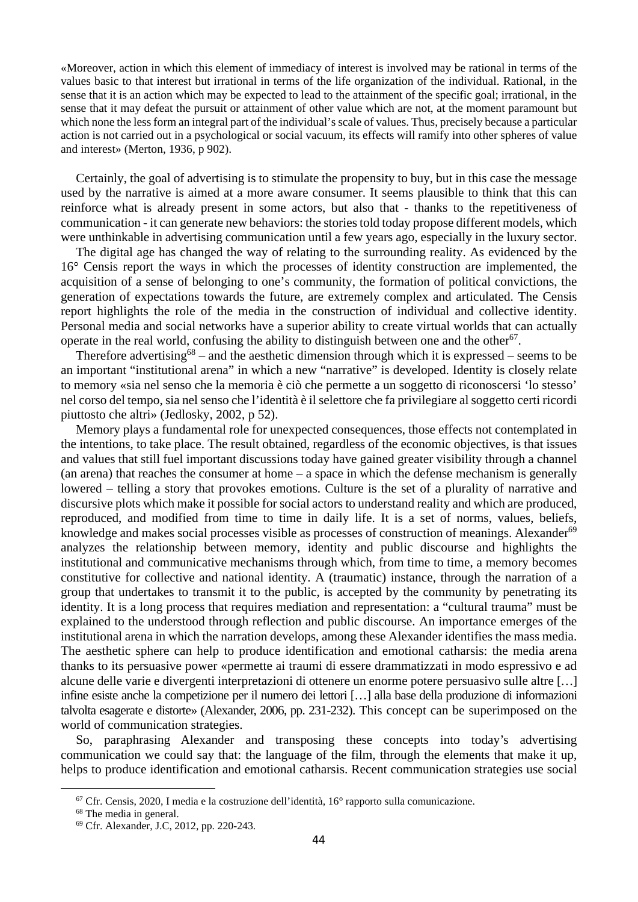«Moreover, action in which this element of immediacy of interest is involved may be rational in terms of the values basic to that interest but irrational in terms of the life organization of the individual. Rational, in the sense that it is an action which may be expected to lead to the attainment of the specific goal; irrational, in the sense that it may defeat the pursuit or attainment of other value which are not, at the moment paramount but which none the less form an integral part of the individual's scale of values. Thus, precisely because a particular action is not carried out in a psychological or social vacuum, its effects will ramify into other spheres of value and interest» (Merton, 1936, p 902).

Certainly, the goal of advertising is to stimulate the propensity to buy, but in this case the message used by the narrative is aimed at a more aware consumer. It seems plausible to think that this can reinforce what is already present in some actors, but also that - thanks to the repetitiveness of communication - it can generate new behaviors: the stories told today propose different models, which were unthinkable in advertising communication until a few years ago, especially in the luxury sector.

The digital age has changed the way of relating to the surrounding reality. As evidenced by the 16° Censis report the ways in which the processes of identity construction are implemented, the acquisition of a sense of belonging to one's community, the formation of political convictions, the generation of expectations towards the future, are extremely complex and articulated. The Censis report highlights the role of the media in the construction of individual and collective identity. Personal media and social networks have a superior ability to create virtual worlds that can actually operate in the real world, confusing the ability to distinguish between one and the other<sup>67</sup>.

Therefore advertising<sup>68</sup> – and the aesthetic dimension through which it is expressed – seems to be an important "institutional arena" in which a new "narrative" is developed. Identity is closely relate to memory «sia nel senso che la memoria è ciò che permette a un soggetto di riconoscersi 'lo stesso' nel corso del tempo, sia nel senso che l'identità è il selettore che fa privilegiare al soggetto certi ricordi piuttosto che altri» (Jedlosky, 2002, p 52).

Memory plays a fundamental role for unexpected consequences, those effects not contemplated in the intentions, to take place. The result obtained, regardless of the economic objectives, is that issues and values that still fuel important discussions today have gained greater visibility through a channel (an arena) that reaches the consumer at home – a space in which the defense mechanism is generally lowered – telling a story that provokes emotions. Culture is the set of a plurality of narrative and discursive plots which make it possible for social actors to understand reality and which are produced, reproduced, and modified from time to time in daily life. It is a set of norms, values, beliefs, knowledge and makes social processes visible as processes of construction of meanings. Alexander<sup>69</sup> analyzes the relationship between memory, identity and public discourse and highlights the institutional and communicative mechanisms through which, from time to time, a memory becomes constitutive for collective and national identity. A (traumatic) instance, through the narration of a group that undertakes to transmit it to the public, is accepted by the community by penetrating its identity. It is a long process that requires mediation and representation: a "cultural trauma" must be explained to the understood through reflection and public discourse. An importance emerges of the institutional arena in which the narration develops, among these Alexander identifies the mass media. The aesthetic sphere can help to produce identification and emotional catharsis: the media arena thanks to its persuasive power «permette ai traumi di essere drammatizzati in modo espressivo e ad alcune delle varie e divergenti interpretazioni di ottenere un enorme potere persuasivo sulle altre […] infine esiste anche la competizione per il numero dei lettori […] alla base della produzione di informazioni talvolta esagerate e distorte» (Alexander, 2006, pp. 231-232). This concept can be superimposed on the world of communication strategies.

So, paraphrasing Alexander and transposing these concepts into today's advertising communication we could say that: the language of the film, through the elements that make it up, helps to produce identification and emotional catharsis. Recent communication strategies use social

<sup>&</sup>lt;sup>67</sup> Cfr. Censis, 2020, I media e la costruzione dell'identità, 16<sup>°</sup> rapporto sulla comunicazione. <sup>68</sup> The media in general.

<sup>69</sup> Cfr. Alexander, J.C, 2012, pp. 220-243.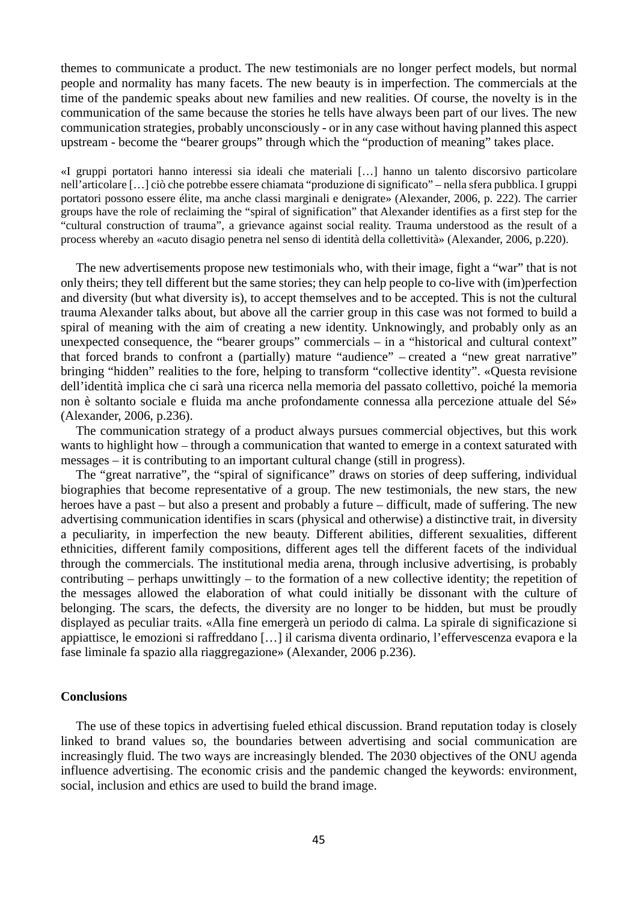themes to communicate a product. The new testimonials are no longer perfect models, but normal people and normality has many facets. The new beauty is in imperfection. The commercials at the time of the pandemic speaks about new families and new realities. Of course, the novelty is in the communication of the same because the stories he tells have always been part of our lives. The new communication strategies, probably unconsciously - or in any case without having planned this aspect upstream - become the "bearer groups" through which the "production of meaning" takes place.

«I gruppi portatori hanno interessi sia ideali che materiali […] hanno un talento discorsivo particolare nell'articolare […] ciò che potrebbe essere chiamata "produzione di significato" – nella sfera pubblica. I gruppi portatori possono essere élite, ma anche classi marginali e denigrate» (Alexander, 2006, p. 222). The carrier groups have the role of reclaiming the "spiral of signification" that Alexander identifies as a first step for the "cultural construction of trauma", a grievance against social reality. Trauma understood as the result of a process whereby an «acuto disagio penetra nel senso di identità della collettività» (Alexander, 2006, p.220).

The new advertisements propose new testimonials who, with their image, fight a "war" that is not only theirs; they tell different but the same stories; they can help people to co-live with (im)perfection and diversity (but what diversity is), to accept themselves and to be accepted. This is not the cultural trauma Alexander talks about, but above all the carrier group in this case was not formed to build a spiral of meaning with the aim of creating a new identity. Unknowingly, and probably only as an unexpected consequence, the "bearer groups" commercials – in a "historical and cultural context" that forced brands to confront a (partially) mature "audience" – created a "new great narrative" bringing "hidden" realities to the fore, helping to transform "collective identity". «Questa revisione dell'identità implica che ci sarà una ricerca nella memoria del passato collettivo, poiché la memoria non è soltanto sociale e fluida ma anche profondamente connessa alla percezione attuale del Sé» (Alexander, 2006, p.236).

The communication strategy of a product always pursues commercial objectives, but this work wants to highlight how – through a communication that wanted to emerge in a context saturated with messages – it is contributing to an important cultural change (still in progress).

The "great narrative", the "spiral of significance" draws on stories of deep suffering, individual biographies that become representative of a group. The new testimonials, the new stars, the new heroes have a past – but also a present and probably a future – difficult, made of suffering. The new advertising communication identifies in scars (physical and otherwise) a distinctive trait, in diversity a peculiarity, in imperfection the new beauty. Different abilities, different sexualities, different ethnicities, different family compositions, different ages tell the different facets of the individual through the commercials. The institutional media arena, through inclusive advertising, is probably contributing – perhaps unwittingly – to the formation of a new collective identity; the repetition of the messages allowed the elaboration of what could initially be dissonant with the culture of belonging. The scars, the defects, the diversity are no longer to be hidden, but must be proudly displayed as peculiar traits. «Alla fine emergerà un periodo di calma. La spirale di significazione si appiattisce, le emozioni si raffreddano […] il carisma diventa ordinario, l'effervescenza evapora e la fase liminale fa spazio alla riaggregazione» (Alexander, 2006 p.236).

#### **Conclusions**

The use of these topics in advertising fueled ethical discussion. Brand reputation today is closely linked to brand values so, the boundaries between advertising and social communication are increasingly fluid. The two ways are increasingly blended. The 2030 objectives of the ONU agenda influence advertising. The economic crisis and the pandemic changed the keywords: environment, social, inclusion and ethics are used to build the brand image.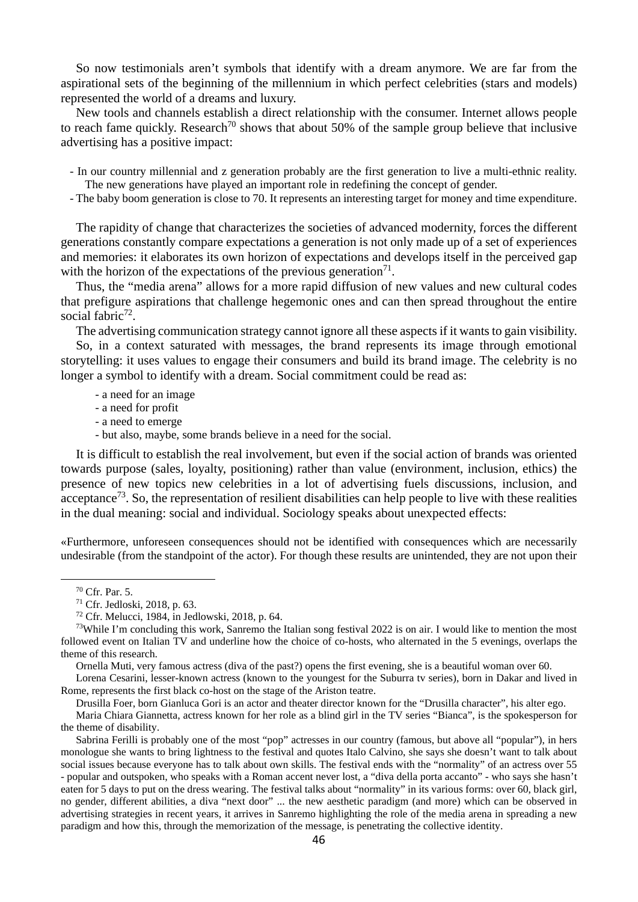So now testimonials aren't symbols that identify with a dream anymore. We are far from the aspirational sets of the beginning of the millennium in which perfect celebrities (stars and models) represented the world of a dreams and luxury.

New tools and channels establish a direct relationship with the consumer. Internet allows people to reach fame quickly. Research<sup>70</sup> shows that about 50% of the sample group believe that inclusive advertising has a positive impact:

- In our country millennial and z generation probably are the first generation to live a multi-ethnic reality. The new generations have played an important role in redefining the concept of gender.

- The baby boom generation is close to 70. It represents an interesting target for money and time expenditure.

The rapidity of change that characterizes the societies of advanced modernity, forces the different generations constantly compare expectations a generation is not only made up of a set of experiences and memories: it elaborates its own horizon of expectations and develops itself in the perceived gap with the horizon of the expectations of the previous generation<sup>71</sup>.

Thus, the "media arena" allows for a more rapid diffusion of new values and new cultural codes that prefigure aspirations that challenge hegemonic ones and can then spread throughout the entire social fabric<sup>72</sup>.

The advertising communication strategy cannot ignore all these aspects if it wants to gain visibility.

So, in a context saturated with messages, the brand represents its image through emotional storytelling: it uses values to engage their consumers and build its brand image. The celebrity is no longer a symbol to identify with a dream. Social commitment could be read as:

- a need for an image
- a need for profit
- a need to emerge
- but also, maybe, some brands believe in a need for the social.

It is difficult to establish the real involvement, but even if the social action of brands was oriented towards purpose (sales, loyalty, positioning) rather than value (environment, inclusion, ethics) the presence of new topics new celebrities in a lot of advertising fuels discussions, inclusion, and acceptance<sup>73</sup>. So, the representation of resilient disabilities can help people to live with these realities in the dual meaning: social and individual. Sociology speaks about unexpected effects:

«Furthermore, unforeseen consequences should not be identified with consequences which are necessarily undesirable (from the standpoint of the actor). For though these results are unintended, they are not upon their

Ornella Muti, very famous actress (diva of the past?) opens the first evening, she is a beautiful woman over 60.

Lorena Cesarini, lesser-known actress (known to the youngest for the Suburra tv series), born in Dakar and lived in Rome, represents the first black co-host on the stage of the Ariston teatre.

Drusilla Foer, born Gianluca Gori is an actor and theater director known for the "Drusilla character", his alter ego.

Maria Chiara Giannetta, actress known for her role as a blind girl in the TV series "Bianca", is the spokesperson for the theme of disability.

Sabrina Ferilli is probably one of the most "pop" actresses in our country (famous, but above all "popular"), in hers monologue she wants to bring lightness to the festival and quotes Italo Calvino, she says she doesn't want to talk about social issues because everyone has to talk about own skills. The festival ends with the "normality" of an actress over 55 - popular and outspoken, who speaks with a Roman accent never lost, a "diva della porta accanto" - who says she hasn't eaten for 5 days to put on the dress wearing. The festival talks about "normality" in its various forms: over 60, black girl, no gender, different abilities, a diva "next door" ... the new aesthetic paradigm (and more) which can be observed in advertising strategies in recent years, it arrives in Sanremo highlighting the role of the media arena in spreading a new paradigm and how this, through the memorization of the message, is penetrating the collective identity.

<sup>70</sup> Cfr. Par. 5.

<sup>71</sup> Cfr. Jedloski, 2018, p. 63.

 $72$  Cfr. Melucci, 1984, in Jedlowski, 2018, p. 64.

<sup>&</sup>lt;sup>73</sup>While I'm concluding this work, Sanremo the Italian song festival 2022 is on air. I would like to mention the most followed event on Italian TV and underline how the choice of co-hosts, who alternated in the 5 evenings, overlaps the theme of this research.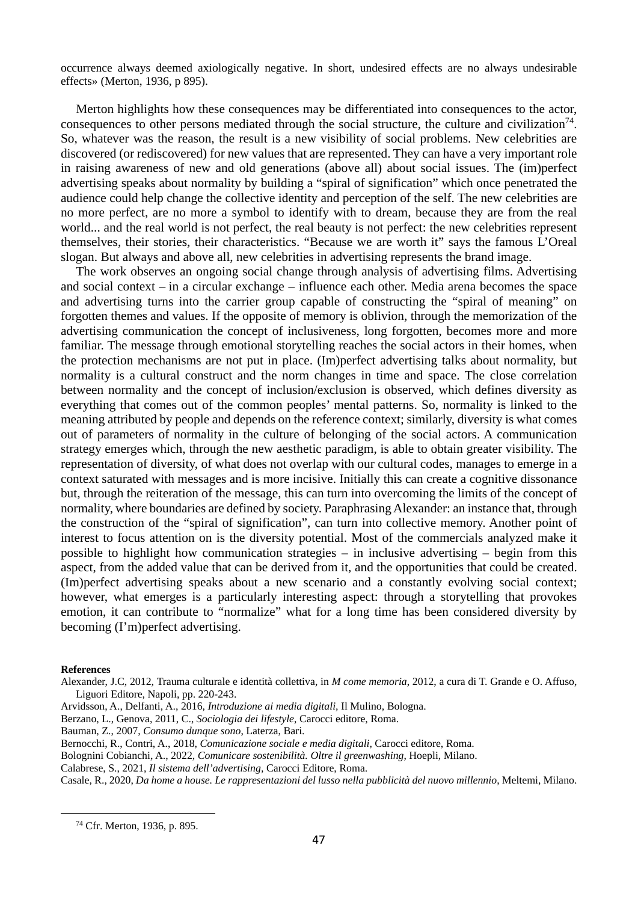occurrence always deemed axiologically negative. In short, undesired effects are no always undesirable effects» (Merton, 1936, p 895).

Merton highlights how these consequences may be differentiated into consequences to the actor, consequences to other persons mediated through the social structure, the culture and civilization<sup>74</sup>. So, whatever was the reason, the result is a new visibility of social problems. New celebrities are discovered (or rediscovered) for new values that are represented. They can have a very important role in raising awareness of new and old generations (above all) about social issues. The (im)perfect advertising speaks about normality by building a "spiral of signification" which once penetrated the audience could help change the collective identity and perception of the self. The new celebrities are no more perfect, are no more a symbol to identify with to dream, because they are from the real world... and the real world is not perfect, the real beauty is not perfect: the new celebrities represent themselves, their stories, their characteristics. "Because we are worth it" says the famous L'Oreal slogan. But always and above all, new celebrities in advertising represents the brand image.

The work observes an ongoing social change through analysis of advertising films. Advertising and social context – in a circular exchange – influence each other. Media arena becomes the space and advertising turns into the carrier group capable of constructing the "spiral of meaning" on forgotten themes and values. If the opposite of memory is oblivion, through the memorization of the advertising communication the concept of inclusiveness, long forgotten, becomes more and more familiar. The message through emotional storytelling reaches the social actors in their homes, when the protection mechanisms are not put in place. (Im)perfect advertising talks about normality, but normality is a cultural construct and the norm changes in time and space. The close correlation between normality and the concept of inclusion/exclusion is observed, which defines diversity as everything that comes out of the common peoples' mental patterns. So, normality is linked to the meaning attributed by people and depends on the reference context; similarly, diversity is what comes out of parameters of normality in the culture of belonging of the social actors. A communication strategy emerges which, through the new aesthetic paradigm, is able to obtain greater visibility. The representation of diversity, of what does not overlap with our cultural codes, manages to emerge in a context saturated with messages and is more incisive. Initially this can create a cognitive dissonance but, through the reiteration of the message, this can turn into overcoming the limits of the concept of normality, where boundaries are defined by society. Paraphrasing Alexander: an instance that, through the construction of the "spiral of signification", can turn into collective memory. Another point of interest to focus attention on is the diversity potential. Most of the commercials analyzed make it possible to highlight how communication strategies – in inclusive advertising – begin from this aspect, from the added value that can be derived from it, and the opportunities that could be created. (Im)perfect advertising speaks about a new scenario and a constantly evolving social context; however, what emerges is a particularly interesting aspect: through a storytelling that provokes emotion, it can contribute to "normalize" what for a long time has been considered diversity by becoming (I'm)perfect advertising.

#### **References**

Alexander, J.C, 2012, Trauma culturale e identità collettiva, in *M come memoria*, 2012, a cura di T. Grande e O. Affuso, Liguori Editore, Napoli, pp. 220-243.

- Arvidsson, A., Delfanti, A., 2016, *Introduzione ai media digitali,* Il Mulino, Bologna.
- Berzano, L., Genova, 2011, C., *Sociologia dei lifestyle*, Carocci editore, Roma.

Bauman, Z., 2007, *Consumo dunque sono*, Laterza, Bari.

- Bernocchi, R., Contri, A., 2018, *Comunicazione sociale e media digitali,* Carocci editore, Roma.
- Bolognini Cobianchi, A., 2022, *Comunicare sostenibilità. Oltre il greenwashing*, Hoepli, Milano.
- Calabrese, S., 2021, *Il sistema dell'advertising,* Carocci Editore, Roma.

Casale, R., 2020, *Da home a house. Le rappresentazioni del lusso nella pubblicità del nuovo millennio*, Meltemi, Milano.

<sup>74</sup> Cfr. Merton, 1936, p. 895.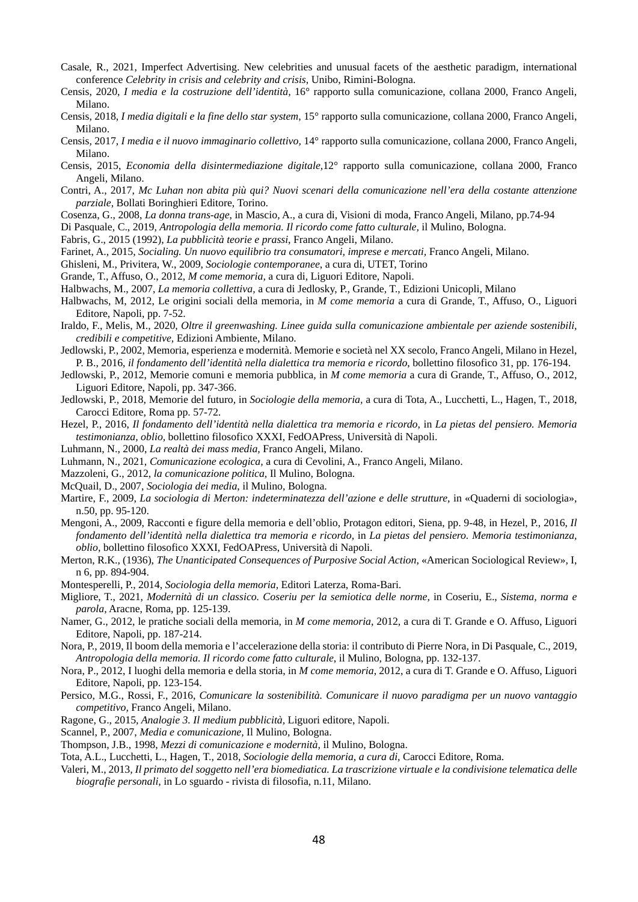- Casale, R., 2021, Imperfect Advertising. New celebrities and unusual facets of the aesthetic paradigm, international conference *Celebrity in crisis and celebrity and crisis*, Unibo, Rimini-Bologna.
- Censis, 2020, *I media e la costruzione dell'identità,* 16° rapporto sulla comunicazione, collana 2000, Franco Angeli, Milano.
- Censis, 2018, *I media digitali e la fine dello star system*, 15° rapporto sulla comunicazione, collana 2000, Franco Angeli, Milano.
- Censis, 2017, *I media e il nuovo immaginario collettivo,* 14° rapporto sulla comunicazione, collana 2000, Franco Angeli, Milano.
- Censis, 2015, *Economia della disintermediazione digitale,*12° rapporto sulla comunicazione, collana 2000, Franco Angeli, Milano.
- Contri, A., 2017, *Mc Luhan non abita più qui? Nuovi scenari della comunicazione nell'era della costante attenzione parziale*, Bollati Boringhieri Editore, Torino.
- Cosenza, G., 2008, *La donna trans-age*, in Mascio, A., a cura di, Visioni di moda, Franco Angeli, Milano, pp.74-94
- Di Pasquale, C., 2019, *Antropologia della memoria. Il ricordo come fatto culturale,* il Mulino, Bologna.
- Fabris, G., 2015 (1992), *La pubblicità teorie e prassi*, Franco Angeli, Milano.
- Farinet, A., 2015, *Socialing. Un nuovo equilibrio tra consumatori, imprese e mercati,* Franco Angeli, Milano.
- Ghisleni, M., Privitera, W., 2009, *Sociologie contemporanee*, a cura di, UTET, Torino
- Grande, T., Affuso, O., 2012, *M come memoria,* a cura di, Liguori Editore, Napoli.
- Halbwachs, M., 2007, *La memoria collettiva,* a cura di Jedlosky, P., Grande, T., Edizioni Unicopli, Milano
- Halbwachs, M, 2012, Le origini sociali della memoria*,* in *M come memoria* a cura di Grande, T., Affuso, O., Liguori Editore, Napoli, pp. 7-52.
- Iraldo, F., Melis, M., 2020, *Oltre il greenwashing. Linee guida sulla comunicazione ambientale per aziende sostenibili, credibili e competitive,* Edizioni Ambiente, Milano.
- Jedlowski, P., 2002, Memoria, esperienza e modernità. Memorie e società nel XX secolo*,* Franco Angeli, Milano in Hezel, P. B., 2016, *il fondamento dell'identità nella dialettica tra memoria e ricordo*, bollettino filosofico 31, pp. 176-194.
- Jedlowski, P., 2012, Memorie comuni e memoria pubblica*,* in *M come memoria* a cura di Grande, T., Affuso, O., 2012, Liguori Editore, Napoli, pp. 347-366.
- Jedlowski, P., 2018, Memorie del futuro*,* in *Sociologie della memoria,* a cura di Tota, A., Lucchetti, L., Hagen, T., 2018, Carocci Editore, Roma pp. 57-72.
- Hezel, P., 2016, *Il fondamento dell'identità nella dialettica tra memoria e ricordo*, in *La pietas del pensiero. Memoria testimonianza, oblio,* bollettino filosofico XXXI, FedOAPress, Università di Napoli.
- Luhmann, N., 2000, *La realtà dei mass media,* Franco Angeli, Milano.
- Luhmann, N., 2021, *Comunicazione ecologica,* a cura di Cevolini, A., Franco Angeli, Milano.
- Mazzoleni, G., 2012, *la comunicazione politica*, Il Mulino, Bologna.
- McQuail, D., 2007, *Sociologia dei media*, il Mulino, Bologna.
- Martire, F., 2009, *La sociologia di Merton: indeterminatezza dell'azione e delle strutture,* in «Quaderni di sociologia», n.50, pp. 95-120.
- Mengoni, A., 2009, Racconti e figure della memoria e dell'oblio, Protagon editori, Siena, pp. 9-48, in Hezel, P., 2016, *Il fondamento dell'identità nella dialettica tra memoria e ricordo*, in *La pietas del pensiero. Memoria testimonianza, oblio,* bollettino filosofico XXXI, FedOAPress, Università di Napoli.
- Merton, R.K., (1936), *The Unanticipated Consequences of Purposive Social Action*, «American Sociological Review», I, n 6, pp. 894-904.
- Montesperelli, P., 2014, *Sociologia della memoria,* Editori Laterza, Roma-Bari.
- Migliore, T., 2021, *Modernità di un classico. Coseriu per la semiotica delle norme,* in Coseriu, E., *Sistema, norma e parola,* Aracne, Roma, pp. 125-139.
- Namer, G., 2012, le pratiche sociali della memoria, in *M come memoria*, 2012, a cura di T. Grande e O. Affuso, Liguori Editore, Napoli, pp. 187-214.
- Nora, P., 2019, Il boom della memoria e l'accelerazione della storia: il contributo di Pierre Nora, in Di Pasquale, C., 2019, *Antropologia della memoria. Il ricordo come fatto culturale*, il Mulino, Bologna, pp. 132-137.
- Nora, P., 2012, I luoghi della memoria e della storia, in *M come memoria*, 2012, a cura di T. Grande e O. Affuso, Liguori Editore, Napoli, pp. 123-154.
- Persico, M.G., Rossi, F., 2016, *Comunicare la sostenibilità. Comunicare il nuovo paradigma per un nuovo vantaggio competitivo,* Franco Angeli, Milano.
- Ragone, G., 2015, *Analogie 3. Il medium pubblicità,* Liguori editore, Napoli.
- Scannel, P., 2007, *Media e comunicazione,* Il Mulino, Bologna.
- Thompson, J.B., 1998, *Mezzi di comunicazione e modernità,* il Mulino, Bologna.
- Tota, A.L., Lucchetti, L., Hagen, T., 2018, *Sociologie della memoria, a cura di,* Carocci Editore, Roma.
- Valeri, M., 2013*, Il primato del soggetto nell'era biomediatica. La trascrizione virtuale e la condivisione telematica delle biografie personali,* in Lo sguardo - rivista di filosofia, n.11, Milano.